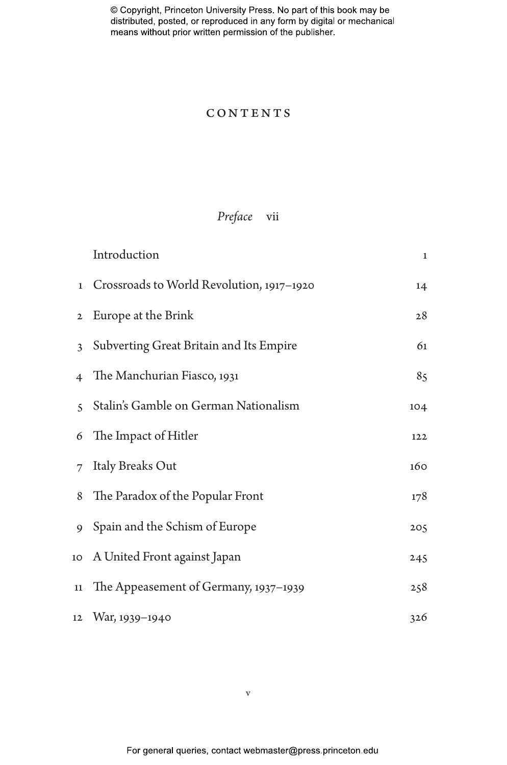### **CONTENTS**

## *Preface* vii

|                | Introduction                              | $\mathbf{1}$ |
|----------------|-------------------------------------------|--------------|
| $\mathbf{1}$   | Crossroads to World Revolution, 1917–1920 | 14           |
| $\mathbf{2}$   | Europe at the Brink                       | 28           |
| $\mathbf{3}$   | Subverting Great Britain and Its Empire   | 61           |
| $\overline{4}$ | The Manchurian Fiasco, 1931               | 85           |
| $\leq$         | Stalin's Gamble on German Nationalism     | 104          |
| 6              | The Impact of Hitler                      | 122          |
| 7              | Italy Breaks Out                          | 160          |
| 8              | The Paradox of the Popular Front          | 178          |
| 9              | Spain and the Schism of Europe            | 205          |
|                | 10 A United Front against Japan           | 245          |
| 11             | The Appeasement of Germany, 1937-1939     | 258          |
|                | 12 War, 1939-1940                         | 326          |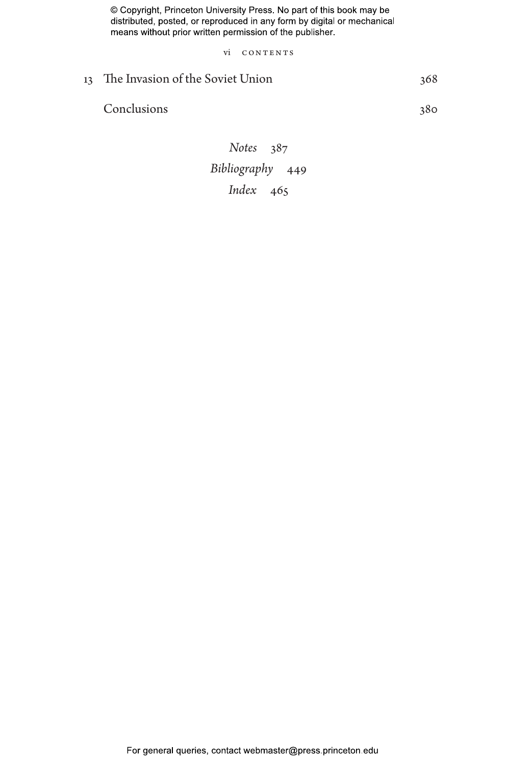vi CONTENTS

# 13 The Invasion of the Soviet Union 368

Conclusions 380

*Notes* 387 *Bibliography* 449 *Index* 465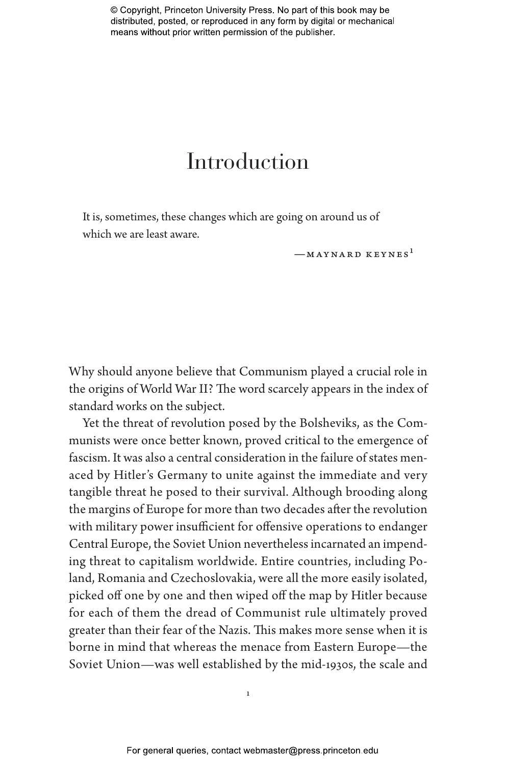# Introduction

It is, sometimes, these changes which are going on around us of which we are least aware.

 $-MAYNARD KEYNES<sup>1</sup>$ 

Why should anyone believe that Communism played a crucial role in the origins of World War II? The word scarcely appears in the index of standard works on the subject.

Yet the threat of revolution posed by the Bolsheviks, as the Communists were once better known, proved critical to the emergence of fascism. It was also a central consideration in the failure of states menaced by Hitler's Germany to unite against the immediate and very tangible threat he posed to their survival. Although brooding along the margins of Europe for more than two decades after the revolution with military power insufficient for offensive operations to endanger Central Europe, the Soviet Union nevertheless incarnated an impending threat to capitalism worldwide. Entire countries, including Poland, Romania and Czechoslovakia, were all the more easily isolated, picked off one by one and then wiped off the map by Hitler because for each of them the dread of Communist rule ultimately proved greater than their fear of the Nazis. This makes more sense when it is borne in mind that whereas the menace from Eastern Europe—the Soviet Union—was well established by the mid-1930s, the scale and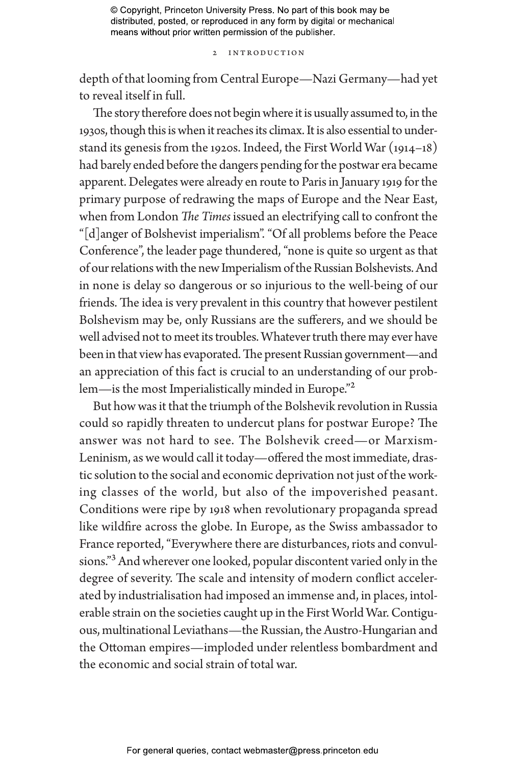#### 2 Introduction

depth of that looming from Central Europe—Nazi Germany—had yet to reveal itself in full.

The story therefore does not begin where it is usually assumed to, in the 1930s, though this is when it reaches its climax. It is also essential to understand its genesis from the 1920s. Indeed, the First World War (1914–18) had barely ended before the dangers pending for the postwar era became apparent. Delegates were already en route to Paris in January 1919 for the primary purpose of redrawing the maps of Europe and the Near East, when from London *The Times* issued an electrifying call to confront the "[d]anger of Bolshevist imperialism". "Of all problems before the Peace Conference", the leader page thundered, "none is quite so urgent as that of our relations with the new Imperialism of the Russian Bolshevists. And in none is delay so dangerous or so injurious to the well-being of our friends. The idea is very prevalent in this country that however pestilent Bolshevism may be, only Russians are the sufferers, and we should be well advised not to meet its troubles. Whatever truth there may ever have been in that view has evaporated. The present Russian government—and an appreciation of this fact is crucial to an understanding of our problem—is the most Imperialistically minded in Europe."<sup>2</sup>

But how was it that the triumph of the Bolshevik revolution in Russia could so rapidly threaten to undercut plans for postwar Europe? The answer was not hard to see. The Bolshevik creed—or Marxism-Leninism, as we would call it today—offered the most immediate, drastic solution to the social and economic deprivation not just of the working classes of the world, but also of the impoverished peasant. Conditions were ripe by 1918 when revolutionary propaganda spread like wildfire across the globe. In Europe, as the Swiss ambassador to France reported, "Everywhere there are disturbances, riots and convulsions."3 And wherever one looked, popular discontent varied only in the degree of severity. The scale and intensity of modern conflict accelerated by industrialisation had imposed an immense and, in places, intolerable strain on the societies caught up in the First World War. Contiguous, multinational Leviathans—the Russian, the Austro-Hungarian and the Ottoman empires—imploded under relentless bombardment and the economic and social strain of total war.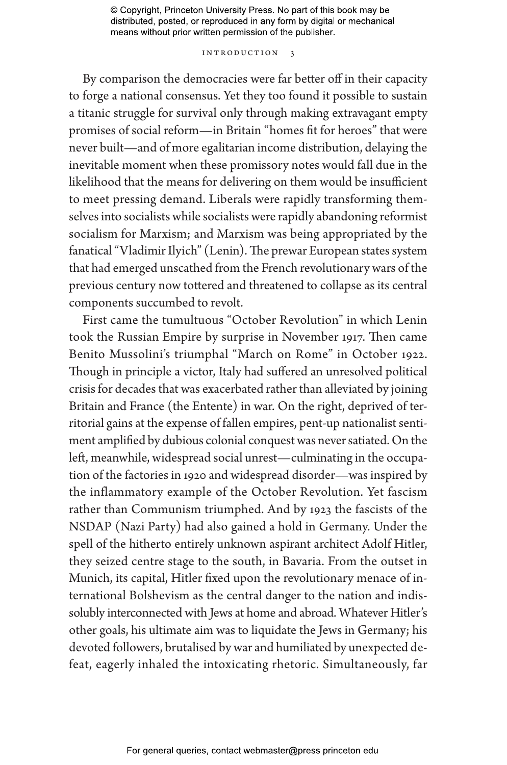#### Introduction 3

By comparison the democracies were far better off in their capacity to forge a national consensus. Yet they too found it possible to sustain a titanic struggle for survival only through making extravagant empty promises of social reform—in Britain "homes fit for heroes" that were never built—and of more egalitarian income distribution, delaying the inevitable moment when these promissory notes would fall due in the likelihood that the means for delivering on them would be insufficient to meet pressing demand. Liberals were rapidly transforming themselves into socialists while socialists were rapidly abandoning reformist socialism for Marxism; and Marxism was being appropriated by the fanatical "Vladimir Ilyich" (Lenin). The prewar European states system that had emerged unscathed from the French revolutionary wars of the previous century now tottered and threatened to collapse as its central components succumbed to revolt.

First came the tumultuous "October Revolution" in which Lenin took the Russian Empire by surprise in November 1917. Then came Benito Mussolini's triumphal "March on Rome" in October 1922. Though in principle a victor, Italy had suffered an unresolved political crisis for decades that was exacerbated rather than alleviated by joining Britain and France (the Entente) in war. On the right, deprived of territorial gains at the expense of fallen empires, pent-up nationalist sentiment amplified by dubious colonial conquest was never satiated. On the left, meanwhile, widespread social unrest—culminating in the occupation of the factories in 1920 and widespread disorder—was inspired by the inflammatory example of the October Revolution. Yet fascism rather than Communism triumphed. And by 1923 the fascists of the NSDAP (Nazi Party) had also gained a hold in Germany. Under the spell of the hitherto entirely unknown aspirant architect Adolf Hitler, they seized centre stage to the south, in Bavaria. From the outset in Munich, its capital, Hitler fixed upon the revolutionary menace of international Bolshevism as the central danger to the nation and indissolubly interconnected with Jews at home and abroad. Whatever Hitler's other goals, his ultimate aim was to liquidate the Jews in Germany; his devoted followers, brutalised by war and humiliated by unexpected defeat, eagerly inhaled the intoxicating rhetoric. Simultaneously, far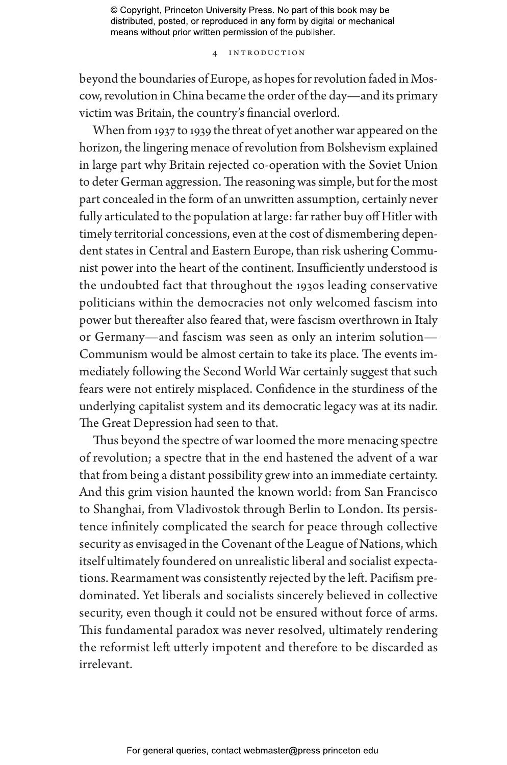#### 4 Introduction

beyond the boundaries of Europe, as hopes for revolution faded in Moscow, revolution in China became the order of the day—and its primary victim was Britain, the country's financial overlord.

When from 1937 to 1939 the threat of yet another war appeared on the horizon, the lingering menace of revolution from Bolshevism explained in large part why Britain rejected co-operation with the Soviet Union to deter German aggression. The reasoning was simple, but for the most part concealed in the form of an unwritten assumption, certainly never fully articulated to the population at large: far rather buy off Hitler with timely territorial concessions, even at the cost of dismembering dependent states in Central and Eastern Europe, than risk ushering Communist power into the heart of the continent. Insufficiently understood is the undoubted fact that throughout the 1930s leading conservative politicians within the democracies not only welcomed fascism into power but thereafter also feared that, were fascism overthrown in Italy or Germany—and fascism was seen as only an interim solution— Communism would be almost certain to take its place. The events immediately following the Second World War certainly suggest that such fears were not entirely misplaced. Confidence in the sturdiness of the underlying capitalist system and its democratic legacy was at its nadir. The Great Depression had seen to that.

Thus beyond the spectre of war loomed the more menacing spectre of revolution; a spectre that in the end hastened the advent of a war that from being a distant possibility grew into an immediate certainty. And this grim vision haunted the known world: from San Francisco to Shanghai, from Vladivostok through Berlin to London. Its persistence infinitely complicated the search for peace through collective security as envisaged in the Covenant of the League of Nations, which itself ultimately foundered on unrealistic liberal and socialist expectations. Rearmament was consistently rejected by the left. Pacifism predominated. Yet liberals and socialists sincerely believed in collective security, even though it could not be ensured without force of arms. This fundamental paradox was never resolved, ultimately rendering the reformist left utterly impotent and therefore to be discarded as irrelevant.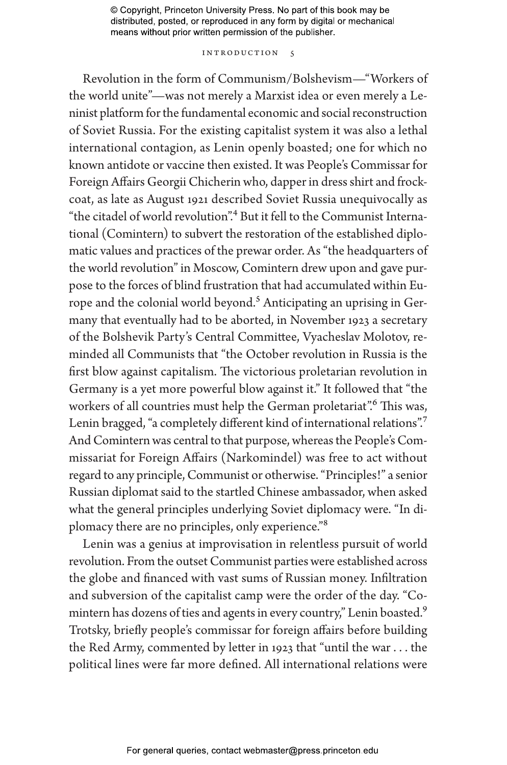#### INTRODUCTION 5

Revolution in the form of Communism/Bolshevism—"Workers of the world unite"—was not merely a Marxist idea or even merely a Leninist platform for the fundamental economic and social reconstruction of Soviet Russia. For the existing capitalist system it was also a lethal international contagion, as Lenin openly boasted; one for which no known antidote or vaccine then existed. It was People's Commissar for Foreign Affairs Georgii Chicherin who, dapper in dress shirt and frockcoat, as late as August 1921 described Soviet Russia unequivocally as "the citadel of world revolution".4 But it fell to the Communist International (Comintern) to subvert the restoration of the established diplomatic values and practices of the prewar order. As "the headquarters of the world revolution" in Moscow, Comintern drew upon and gave purpose to the forces of blind frustration that had accumulated within Europe and the colonial world beyond.<sup>5</sup> Anticipating an uprising in Germany that eventually had to be aborted, in November 1923 a secretary of the Bolshevik Party's Central Committee, Vyacheslav Molotov, reminded all Communists that "the October revolution in Russia is the first blow against capitalism. The victorious proletarian revolution in Germany is a yet more powerful blow against it." It followed that "the workers of all countries must help the German proletariat".<sup>6</sup> This was, Lenin bragged, "a completely different kind of international relations".<sup>7</sup> And Comintern was central to that purpose, whereas the People's Commissariat for Foreign Affairs (Narkomindel) was free to act without regard to any principle, Communist or otherwise. "Principles!" a senior Russian diplomat said to the startled Chinese ambassador, when asked what the general principles underlying Soviet diplomacy were. "In diplomacy there are no principles, only experience."8

Lenin was a genius at improvisation in relentless pursuit of world revolution. From the outset Communist parties were established across the globe and financed with vast sums of Russian money. Infiltration and subversion of the capitalist camp were the order of the day. "Comintern has dozens of ties and agents in every country," Lenin boasted.<sup>9</sup> Trotsky, briefly people's commissar for foreign affairs before building the Red Army, commented by letter in 1923 that "until the war . . . the political lines were far more defined. All international relations were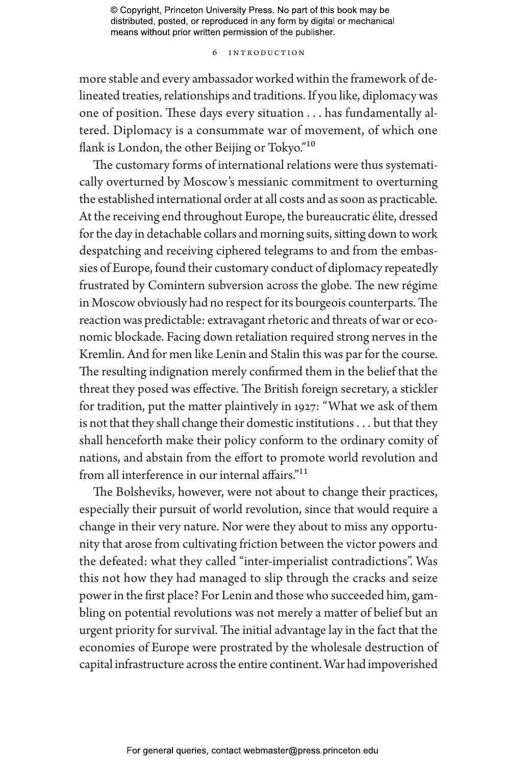#### 6 Introduction

more stable and every ambassador worked within the framework of delineated treaties, relationships and traditions. If you like, diplomacy was one of position. These days every situation . . . has fundamentally altered. Diplomacy is a consummate war of movement, of which one flank is London, the other Beijing or Tokyo."<sup>10</sup>

The customary forms of international relations were thus systematically overturned by Moscow's messianic commitment to overturning the established international order at all costs and as soon as practicable. At the receiving end throughout Europe, the bureaucratic élite, dressed for the day in detachable collars and morning suits, sitting down to work despatching and receiving ciphered telegrams to and from the embassies of Europe, found their customary conduct of diplomacy repeatedly frustrated by Comintern subversion across the globe. The new régime in Moscow obviously had no respect for its bourgeois counterparts. The reaction was predictable: extravagant rhetoric and threats of war or economic blockade. Facing down retaliation required strong nerves in the Kremlin. And for men like Lenin and Stalin this was par for the course. The resulting indignation merely confirmed them in the belief that the threat they posed was effective. The British foreign secretary, a stickler for tradition, put the matter plaintively in 1927: "What we ask of them is not that they shall change their domestic institutions . . . but that they shall henceforth make their policy conform to the ordinary comity of nations, and abstain from the effort to promote world revolution and from all interference in our internal affairs."11

The Bolsheviks, however, were not about to change their practices, especially their pursuit of world revolution, since that would require a change in their very nature. Nor were they about to miss any opportunity that arose from cultivating friction between the victor powers and the defeated: what they called "inter-imperialist contradictions". Was this not how they had managed to slip through the cracks and seize power in the first place? For Lenin and those who succeeded him, gambling on potential revolutions was not merely a matter of belief but an urgent priority for survival. The initial advantage lay in the fact that the economies of Europe were prostrated by the wholesale destruction of capital infrastructure across the entire continent. War had impoverished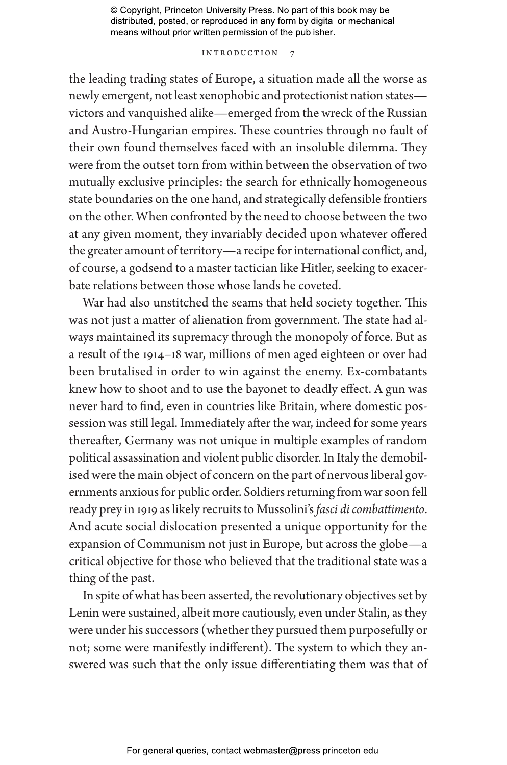#### INTRODUCTION 7

the leading trading states of Europe, a situation made all the worse as newly emergent, not least xenophobic and protectionist nation states victors and vanquished alike—emerged from the wreck of the Russian and Austro-Hungarian empires. These countries through no fault of their own found themselves faced with an insoluble dilemma. They were from the outset torn from within between the observation of two mutually exclusive principles: the search for ethnically homogeneous state boundaries on the one hand, and strategically defensible frontiers on the other. When confronted by the need to choose between the two at any given moment, they invariably decided upon whatever offered the greater amount of territory—a recipe for international conflict, and, of course, a godsend to a master tactician like Hitler, seeking to exacerbate relations between those whose lands he coveted.

War had also unstitched the seams that held society together. This was not just a matter of alienation from government. The state had always maintained its supremacy through the monopoly of force. But as a result of the 1914–18 war, millions of men aged eighteen or over had been brutalised in order to win against the enemy. Ex-combatants knew how to shoot and to use the bayonet to deadly effect. A gun was never hard to find, even in countries like Britain, where domestic possession was still legal. Immediately after the war, indeed for some years thereafter, Germany was not unique in multiple examples of random political assassination and violent public disorder. In Italy the demobilised were the main object of concern on the part of nervous liberal governments anxious for public order. Soldiers returning from war soon fell ready prey in 1919 as likely recruits to Mussolini's *fasci di combattimento*. And acute social dislocation presented a unique opportunity for the expansion of Communism not just in Europe, but across the globe—a critical objective for those who believed that the traditional state was a thing of the past.

In spite of what has been asserted, the revolutionary objectives set by Lenin were sustained, albeit more cautiously, even under Stalin, as they were under his successors (whether they pursued them purposefully or not; some were manifestly indifferent). The system to which they answered was such that the only issue differentiating them was that of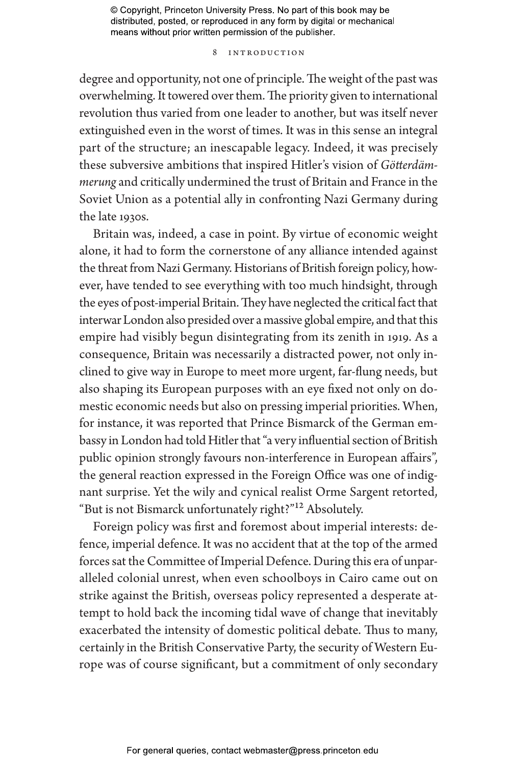#### 8 Introduction

degree and opportunity, not one of principle. The weight of the past was overwhelming. It towered over them. The priority given to international revolution thus varied from one leader to another, but was itself never extinguished even in the worst of times. It was in this sense an integral part of the structure; an inescapable legacy. Indeed, it was precisely these subversive ambitions that inspired Hitler's vision of *Götterdämmerung* and critically undermined the trust of Britain and France in the Soviet Union as a potential ally in confronting Nazi Germany during the late 1930s.

Britain was, indeed, a case in point. By virtue of economic weight alone, it had to form the cornerstone of any alliance intended against the threat from Nazi Germany. Historians of British foreign policy, however, have tended to see everything with too much hindsight, through the eyes of post-imperial Britain. They have neglected the critical fact that interwar London also presided over a massive global empire, and that this empire had visibly begun disintegrating from its zenith in 1919. As a consequence, Britain was necessarily a distracted power, not only inclined to give way in Europe to meet more urgent, far-flung needs, but also shaping its European purposes with an eye fixed not only on domestic economic needs but also on pressing imperial priorities. When, for instance, it was reported that Prince Bismarck of the German embassy in London had told Hitler that "a very influential section of British public opinion strongly favours non-interference in European affairs", the general reaction expressed in the Foreign Office was one of indignant surprise. Yet the wily and cynical realist Orme Sargent retorted, "But is not Bismarck unfortunately right?"12 Absolutely.

Foreign policy was first and foremost about imperial interests: defence, imperial defence. It was no accident that at the top of the armed forces sat the Committee of Imperial Defence. During this era of unparalleled colonial unrest, when even schoolboys in Cairo came out on strike against the British, overseas policy represented a desperate attempt to hold back the incoming tidal wave of change that inevitably exacerbated the intensity of domestic political debate. Thus to many, certainly in the British Conservative Party, the security of Western Europe was of course significant, but a commitment of only secondary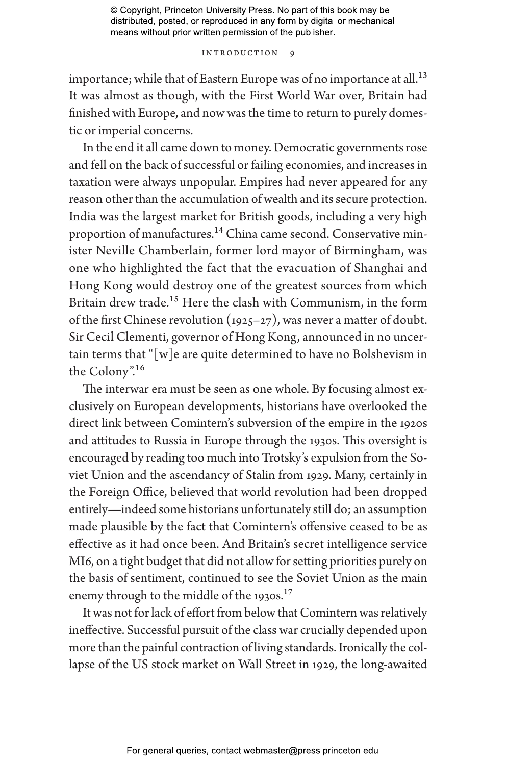#### INTRODUCTION 9

importance; while that of Eastern Europe was of no importance at all.<sup>13</sup> It was almost as though, with the First World War over, Britain had finished with Europe, and now was the time to return to purely domestic or imperial concerns.

In the end it all came down to money. Democratic governments rose and fell on the back of successful or failing economies, and increases in taxation were always unpopular. Empires had never appeared for any reason other than the accumulation of wealth and its secure protection. India was the largest market for British goods, including a very high proportion of manufactures.<sup>14</sup> China came second. Conservative minister Neville Chamberlain, former lord mayor of Birmingham, was one who highlighted the fact that the evacuation of Shanghai and Hong Kong would destroy one of the greatest sources from which Britain drew trade.<sup>15</sup> Here the clash with Communism, in the form of the first Chinese revolution (1925–27), was never a matter of doubt. Sir Cecil Clementi, governor of Hong Kong, announced in no uncertain terms that " $[w]$ e are quite determined to have no Bolshevism in the Colony".16

The interwar era must be seen as one whole. By focusing almost exclusively on European developments, historians have overlooked the direct link between Comintern's subversion of the empire in the 1920s and attitudes to Russia in Europe through the 1930s. This oversight is encouraged by reading too much into Trotsky's expulsion from the Soviet Union and the ascendancy of Stalin from 1929. Many, certainly in the Foreign Office, believed that world revolution had been dropped entirely—indeed some historians unfortunately still do; an assumption made plausible by the fact that Comintern's offensive ceased to be as effective as it had once been. And Britain's secret intelligence service MI6, on a tight budget that did not allow for setting priorities purely on the basis of sentiment, continued to see the Soviet Union as the main enemy through to the middle of the 1930s.<sup>17</sup>

It was not for lack of effort from below that Comintern was relatively ineffective. Successful pursuit of the class war crucially depended upon more than the painful contraction of living standards. Ironically the collapse of the US stock market on Wall Street in 1929, the long-awaited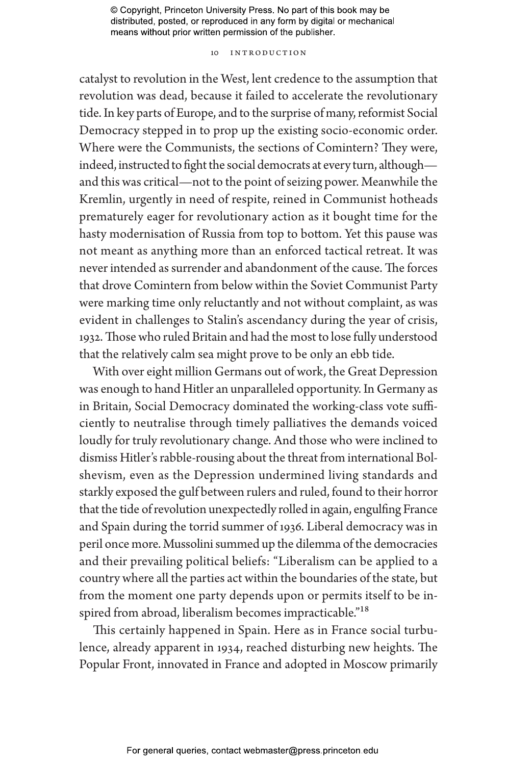#### 10 Introduction

catalyst to revolution in the West, lent credence to the assumption that revolution was dead, because it failed to accelerate the revolutionary tide. In key parts of Europe, and to the surprise of many, reformist Social Democracy stepped in to prop up the existing socio-economic order. Where were the Communists, the sections of Comintern? They were, indeed, instructed to fight the social democrats at every turn, although and this was critical—not to the point of seizing power. Meanwhile the Kremlin, urgently in need of respite, reined in Communist hotheads prematurely eager for revolutionary action as it bought time for the hasty modernisation of Russia from top to bottom. Yet this pause was not meant as anything more than an enforced tactical retreat. It was never intended as surrender and abandonment of the cause. The forces that drove Comintern from below within the Soviet Communist Party were marking time only reluctantly and not without complaint, as was evident in challenges to Stalin's ascendancy during the year of crisis, 1932. Those who ruled Britain and had the most to lose fully understood that the relatively calm sea might prove to be only an ebb tide.

With over eight million Germans out of work, the Great Depression was enough to hand Hitler an unparalleled opportunity. In Germany as in Britain, Social Democracy dominated the working-class vote sufficiently to neutralise through timely palliatives the demands voiced loudly for truly revolutionary change. And those who were inclined to dismiss Hitler's rabble-rousing about the threat from international Bolshevism, even as the Depression undermined living standards and starkly exposed the gulf between rulers and ruled, found to their horror that the tide of revolution unexpectedly rolled in again, engulfing France and Spain during the torrid summer of 1936. Liberal democracy was in peril once more. Mussolini summed up the dilemma of the democracies and their prevailing political beliefs: "Liberalism can be applied to a country where all the parties act within the boundaries of the state, but from the moment one party depends upon or permits itself to be inspired from abroad, liberalism becomes impracticable."<sup>18</sup>

This certainly happened in Spain. Here as in France social turbulence, already apparent in 1934, reached disturbing new heights. The Popular Front, innovated in France and adopted in Moscow primarily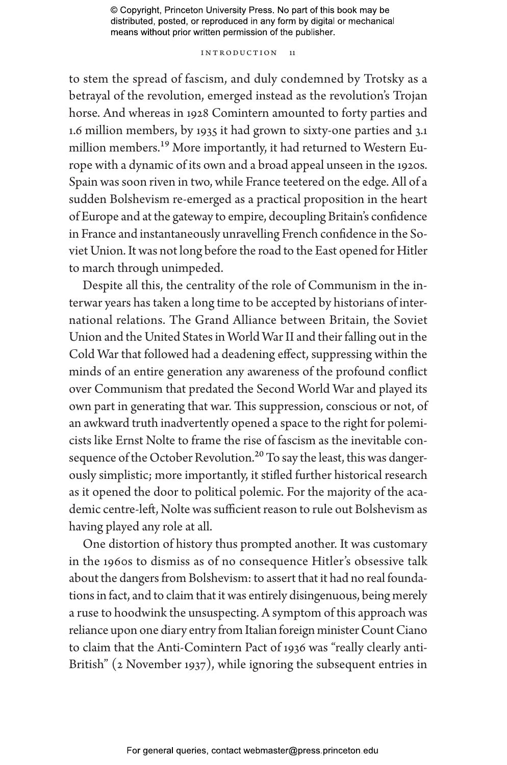#### INTRODUCTION 11

to stem the spread of fascism, and duly condemned by Trotsky as a betrayal of the revolution, emerged instead as the revolution's Trojan horse. And whereas in 1928 Comintern amounted to forty parties and 1.6 million members, by 1935 it had grown to sixty-one parties and 3.1 million members.19 More importantly, it had returned to Western Europe with a dynamic of its own and a broad appeal unseen in the 1920s. Spain was soon riven in two, while France teetered on the edge. All of a sudden Bolshevism re-emerged as a practical proposition in the heart of Europe and at the gateway to empire, decoupling Britain's confidence in France and instantaneously unravelling French confidence in the Soviet Union. It was not long before the road to the East opened for Hitler to march through unimpeded.

Despite all this, the centrality of the role of Communism in the interwar years has taken a long time to be accepted by historians of international relations. The Grand Alliance between Britain, the Soviet Union and the United States in World War II and their falling out in the Cold War that followed had a deadening effect, suppressing within the minds of an entire generation any awareness of the profound conflict over Communism that predated the Second World War and played its own part in generating that war. This suppression, conscious or not, of an awkward truth inadvertently opened a space to the right for polemicists like Ernst Nolte to frame the rise of fascism as the inevitable consequence of the October Revolution.<sup>20</sup> To say the least, this was dangerously simplistic; more importantly, it stifled further historical research as it opened the door to political polemic. For the majority of the academic centre-left, Nolte was sufficient reason to rule out Bolshevism as having played any role at all.

One distortion of history thus prompted another. It was customary in the 1960s to dismiss as of no consequence Hitler's obsessive talk about the dangers from Bolshevism: to assert that it had no real foundations in fact, and to claim that it was entirely disingenuous, being merely a ruse to hoodwink the unsuspecting. A symptom of this approach was reliance upon one diary entry from Italian foreign minister Count Ciano to claim that the Anti-Comintern Pact of 1936 was "really clearly anti-British" (2 November 1937), while ignoring the subsequent entries in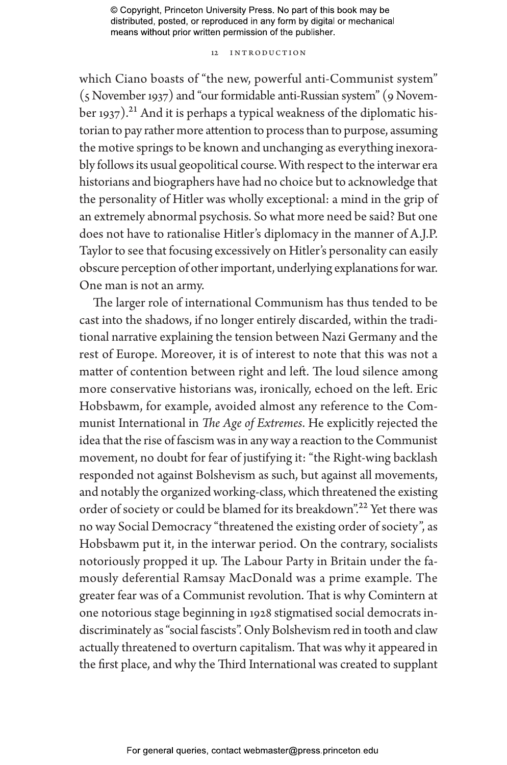#### 12 Introduction

which Ciano boasts of "the new, powerful anti-Communist system" (5 November 1937) and "our formidable anti-Russian system" (9 November 1937).<sup>21</sup> And it is perhaps a typical weakness of the diplomatic historian to pay rather more attention to process than to purpose, assuming the motive springs to be known and unchanging as everything inexorably follows its usual geopolitical course. With respect to the interwar era historians and biographers have had no choice but to acknowledge that the personality of Hitler was wholly exceptional: a mind in the grip of an extremely abnormal psychosis. So what more need be said? But one does not have to rationalise Hitler's diplomacy in the manner of A.J.P. Taylor to see that focusing excessively on Hitler's personality can easily obscure perception of other important, underlying explanations for war. One man is not an army.

The larger role of international Communism has thus tended to be cast into the shadows, if no longer entirely discarded, within the traditional narrative explaining the tension between Nazi Germany and the rest of Europe. Moreover, it is of interest to note that this was not a matter of contention between right and left. The loud silence among more conservative historians was, ironically, echoed on the left. Eric Hobsbawm, for example, avoided almost any reference to the Communist International in *The Age of Extremes*. He explicitly rejected the idea that the rise of fascism was in any way a reaction to the Communist movement, no doubt for fear of justifying it: "the Right-wing backlash responded not against Bolshevism as such, but against all movements, and notably the organized working-class, which threatened the existing order of society or could be blamed for its breakdown".<sup>22</sup> Yet there was no way Social Democracy "threatened the existing order of society", as Hobsbawm put it, in the interwar period. On the contrary, socialists notoriously propped it up. The Labour Party in Britain under the famously deferential Ramsay MacDonald was a prime example. The greater fear was of a Communist revolution. That is why Comintern at one notorious stage beginning in 1928 stigmatised social democrats indiscriminately as "social fascists". Only Bolshevism red in tooth and claw actually threatened to overturn capitalism. That was why it appeared in the first place, and why the Third International was created to supplant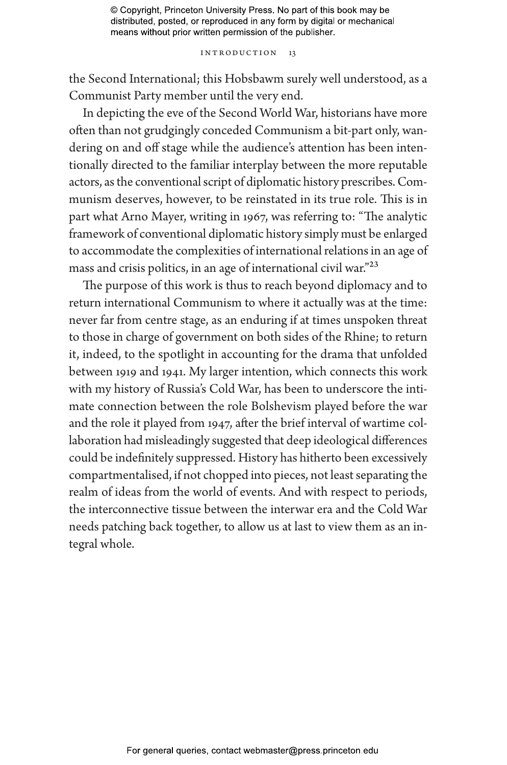#### INTRODUCTION 13

the Second International; this Hobsbawm surely well understood, as a Communist Party member until the very end.

In depicting the eve of the Second World War, historians have more often than not grudgingly conceded Communism a bit-part only, wandering on and off stage while the audience's attention has been intentionally directed to the familiar interplay between the more reputable actors, as the conventional script of diplomatic history prescribes. Communism deserves, however, to be reinstated in its true role. This is in part what Arno Mayer, writing in 1967, was referring to: "The analytic framework of conventional diplomatic history simply must be enlarged to accommodate the complexities of international relations in an age of mass and crisis politics, in an age of international civil war."23

The purpose of this work is thus to reach beyond diplomacy and to return international Communism to where it actually was at the time: never far from centre stage, as an enduring if at times unspoken threat to those in charge of government on both sides of the Rhine; to return it, indeed, to the spotlight in accounting for the drama that unfolded between 1919 and 1941. My larger intention, which connects this work with my history of Russia's Cold War, has been to underscore the intimate connection between the role Bolshevism played before the war and the role it played from 1947, after the brief interval of wartime collaboration had misleadingly suggested that deep ideological differences could be indefinitely suppressed. History has hitherto been excessively compartmentalised, if not chopped into pieces, not least separating the realm of ideas from the world of events. And with respect to periods, the interconnective tissue between the interwar era and the Cold War needs patching back together, to allow us at last to view them as an integral whole.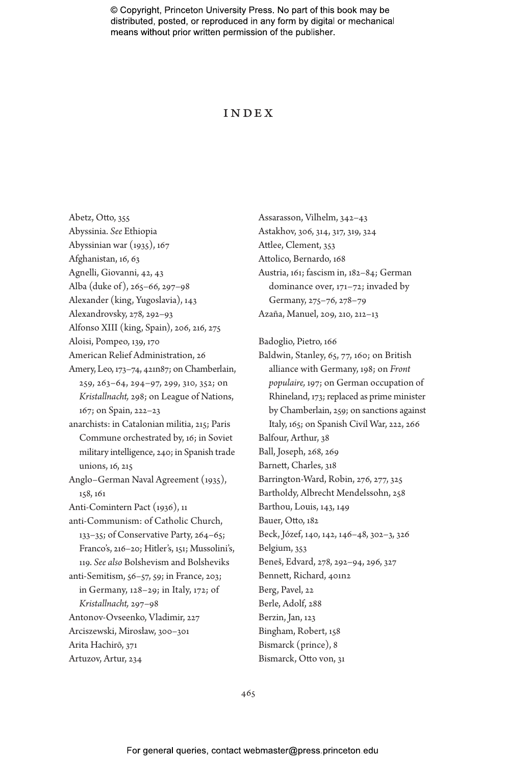### Index

Abetz, Otto, 355 Abyssinia. *See* Ethiopia Abyssinian war (1935), 167 Afghanistan, 16, 63 Agnelli, Giovanni, 42, 43 Alba (duke of), 265–66, 297–98 Alexander (king, Yugoslavia), 143 Alexandrovsky, 278, 292–93 Alfonso XIII (king, Spain), 206, 216, 275 Aloisi, Pompeo, 139, 170 American Relief Administration, 26 Amery, Leo, 173–74, 421n87; on Chamberlain, 259, 263–64, 294–97, 299, 310, 352; on *Kristallnacht,* 298; on League of Nations, 167; on Spain, 222–23 anarchists: in Catalonian militia, 215; Paris Commune orchestrated by, 16; in Soviet military intelligence, 240; in Spanish trade unions, 16, 215 Anglo–German Naval Agreement (1935), 158, 161 Anti-Comintern Pact (1936), 11 anti-Communism: of Catholic Church, 133–35; of Conservative Party, 264–65; Franco's, 216–20; Hitler's, 151; Mussolini's, 119. *See also* Bolshevism and Bolsheviks anti-Semitism, 56–57, 59; in France, 203; in Germany, 128–29; in Italy, 172; of *Kristallnacht,* 297–98 Antonov-Ovseenko, Vladimir, 227 Arciszewski, Mirosław, 300–301 Arita Hachirō, 371 Artuzov, Artur, 234

Assarasson, Vilhelm, 342–43 Astakhov, 306, 314, 317, 319, 324 Attlee, Clement, 353 Attolico, Bernardo, 168 Austria, 161; fascism in, 182–84; German dominance over, 171–72; invaded by Germany, 275–76, 278–79 Azaña, Manuel, 209, 210, 212–13 Badoglio, Pietro, 166 Baldwin, Stanley, 65, 77, 160; on British alliance with Germany, 198; on *Front populaire,* 197; on German occupation of Rhineland, 173; replaced as prime minister by Chamberlain, 259; on sanctions against Italy, 165; on Spanish Civil War, 222, 266 Balfour, Arthur, 38 Ball, Joseph, 268, 269 Barnett, Charles, 318 Barrington-Ward, Robin, 276, 277, 325 Bartholdy, Albrecht Mendelssohn, 258 Barthou, Louis, 143, 149 Bauer, Otto, 182 Beck, Józef, 140, 142, 146–48, 302–3, 326 Belgium, 353 Beneš, Edvard, 278, 292–94, 296, 327 Bennett, Richard, 401n2 Berg, Pavel, 22 Berle, Adolf, 288 Berzin, Jan, 123 Bingham, Robert, 158 Bismarck (prince), 8 Bismarck, Otto von, 31

465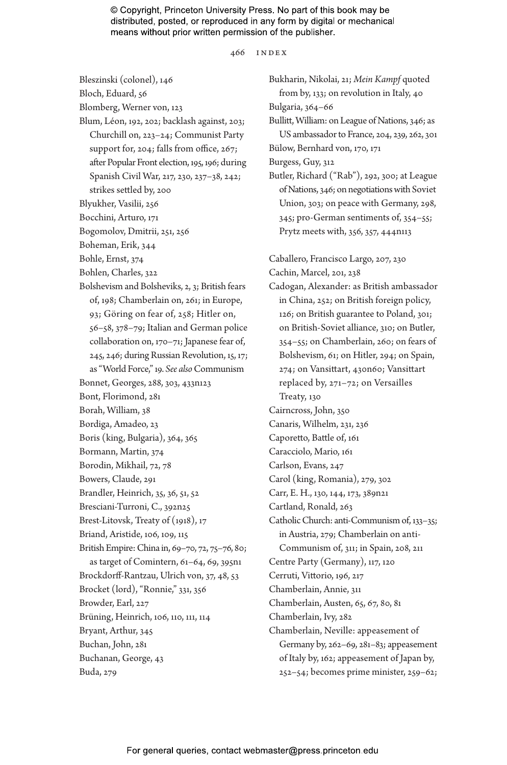466 index

Bleszinski (colonel), 146 Bloch, Eduard, 56 Blomberg, Werner von, 123 Blum, Léon, 192, 202; backlash against, 203; Churchill on, 223–24; Communist Party support for, 204; falls from office, 267; after Popular Front election, 195, 196; during Spanish Civil War, 217, 230, 237–38, 242; strikes settled by, 200 Blyukher, Vasilii, 256 Bocchini, Arturo, 171 Bogomolov, Dmitrii, 251, 256 Boheman, Erik, 344 Bohle, Ernst, 374 Bohlen, Charles, 322 Bolshevism and Bolsheviks, 2, 3; British fears of, 198; Chamberlain on, 261; in Europe, 93; Göring on fear of, 258; Hitler on, 56–58, 378–79; Italian and German police collaboration on, 170–71; Japanese fear of, 245, 246; during Russian Revolution, 15, 17; as "World Force," 19. *See also* Communism Bonnet, Georges, 288, 303, 433n123 Bont, Florimond, 281 Borah, William, 38 Bordiga, Amadeo, 23 Boris (king, Bulgaria), 364, 365 Bormann, Martin, 374 Borodin, Mikhail, 72, 78 Bowers, Claude, 291 Brandler, Heinrich, 35, 36, 51, 52 Bresciani-Turroni, C., 392n25 Brest-Litovsk, Treaty of (1918), 17 Briand, Aristide, 106, 109, 115 British Empire: China in, 69–70, 72, 75–76, 80; as target of Comintern, 61–64, 69, 395n1 Brockdorff-Rantzau, Ulrich von, 37, 48, 53 Brocket (lord), "Ronnie," 331, 356 Browder, Earl, 227 Brüning, Heinrich, 106, 110, 111, 114 Bryant, Arthur, 345 Buchan, John, 281 Buchanan, George, 43 Buda, 279

Bukharin, Nikolai, 21; *Mein Kampf* quoted from by, 133; on revolution in Italy, 40 Bulgaria, 364–66 Bullitt, William: on League of Nations, 346; as US ambassador to France, 204, 239, 262, 301 Bülow, Bernhard von, 170, 171 Burgess, Guy, 312 Butler, Richard ("Rab"), 292, 300; at League of Nations, 346; on negotiations with Soviet Union, 303; on peace with Germany, 298, 345; pro-German sentiments of, 354–55; Prytz meets with, 356, 357, 444n113 Caballero, Francisco Largo, 207, 230 Cachin, Marcel, 201, 238 Cadogan, Alexander: as British ambassador in China, 252; on British foreign policy, 126; on British guarantee to Poland, 301; on British-Soviet alliance, 310; on Butler, 354–55; on Chamberlain, 260; on fears of Bolshevism, 61; on Hitler, 294; on Spain, 274; on Vansittart, 430n60; Vansittart replaced by, 271–72; on Versailles Treaty, 130 Cairncross, John, 350 Canaris, Wilhelm, 231, 236 Caporetto, Battle of, 161 Caracciolo, Mario, 161 Carlson, Evans, 247 Carol (king, Romania), 279, 302 Carr, E. H., 130, 144, 173, 389n21 Cartland, Ronald, 263 Catholic Church: anti-Communism of, 133–35; in Austria, 279; Chamberlain on anti-Communism of, 311; in Spain, 208, 211 Centre Party (Germany), 117, 120 Cerruti, Vittorio, 196, 217 Chamberlain, Annie, 311 Chamberlain, Austen, 65, 67, 80, 81 Chamberlain, Ivy, 282 Chamberlain, Neville: appeasement of Germany by, 262–69, 281–83; appeasement of Italy by, 162; appeasement of Japan by, 252–54; becomes prime minister, 259–62;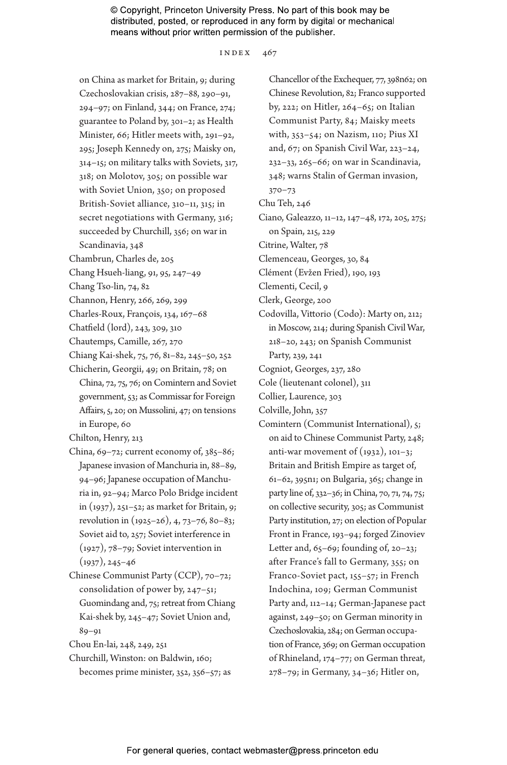index 467

on China as market for Britain, 9; during Czechoslovakian crisis, 287–88, 290–91, 294–97; on Finland, 344; on France, 274; guarantee to Poland by, 301–2; as Health Minister, 66; Hitler meets with, 291–92, 295; Joseph Kennedy on, 275; Maisky on, 314–15; on military talks with Soviets, 317, 318; on Molotov, 305; on possible war with Soviet Union, 350; on proposed British-Soviet alliance, 310–11, 315; in secret negotiations with Germany, 316; succeeded by Churchill, 356; on war in

Scandinavia, 348

Chambrun, Charles de, 205

Chang Hsueh-liang, 91, 95, 247–49

- Chang Tso-lin, 74, 82
- Channon, Henry, 266, 269, 299
- Charles-Roux, François, 134, 167–68
- Chatfield (lord), 243, 309, 310
- Chautemps, Camille, 267, 270
- Chiang Kai-shek, 75, 76, 81–82, 245–50, 252 Chicherin, Georgii, 49; on Britain, 78; on
- China, 72, 75, 76; on Comintern and Soviet government, 53; as Commissar for Foreign Affairs, 5, 20; on Mussolini, 47; on tensions in Europe, 60

Chilton, Henry, 213

- China, 69–72; current economy of, 385–86; Japanese invasion of Manchuria in, 88–89, 94–96; Japanese occupation of Manchuria in, 92–94; Marco Polo Bridge incident in (1937), 251–52; as market for Britain, 9; revolution in (1925–26), 4, 73–76, 80–83; Soviet aid to, 257; Soviet interference in (1927), 78–79; Soviet intervention in  $(1937), 245 - 46$
- Chinese Communist Party (CCP), 70–72; consolidation of power by, 247–51; Guomindang and, 75; retreat from Chiang Kai-shek by, 245–47; Soviet Union and, 89–91
- Chou En-lai, 248, 249, 251
- Churchill, Winston: on Baldwin, 160; becomes prime minister, 352, 356–57; as

Chancellor of the Exchequer, 77, 398n62; on Chinese Revolution, 82; Franco supported by, 222; on Hitler, 264–65; on Italian Communist Party, 84; Maisky meets with, 353–54; on Nazism, 110; Pius XI and, 67; on Spanish Civil War, 223–24, 232–33, 265–66; on war in Scandinavia, 348; warns Stalin of German invasion, 370–73 Chu Teh, 246 Ciano, Galeazzo, 11–12, 147–48, 172, 205, 275; on Spain, 215, 229 Citrine, Walter, 78 Clemenceau, Georges, 30, 84 Clément (Evžen Fried), 190, 193 Clementi, Cecil, 9 Clerk, George, 200 Codovilla, Vittorio (Codo): Marty on, 212; in Moscow, 214; during Spanish Civil War, 218–20, 243; on Spanish Communist Party, 239, 241 Cogniot, Georges, 237, 280 Cole (lieutenant colonel), 311 Collier, Laurence, 303 Colville, John, 357 Comintern (Communist International), 5; on aid to Chinese Communist Party, 248; anti-war movement of  $(1932)$ , 101–3; Britain and British Empire as target of, 61–62, 395n1; on Bulgaria, 365; change in party line of, 332–36; in China, 70, 71, 74, 75; on collective security, 305; as Communist Party institution, 27; on election of Popular Front in France, 193–94; forged Zinoviev Letter and, 65–69; founding of, 20–23; after France's fall to Germany, 355; on Franco-Soviet pact, 155–57; in French Indochina, 109; German Communist Party and, 112–14; German-Japanese pact against, 249–50; on German minority in Czechoslovakia, 284; on German occupation of France, 369; on German occupation of Rhineland, 174–77; on German threat, 278–79; in Germany, 34–36; Hitler on,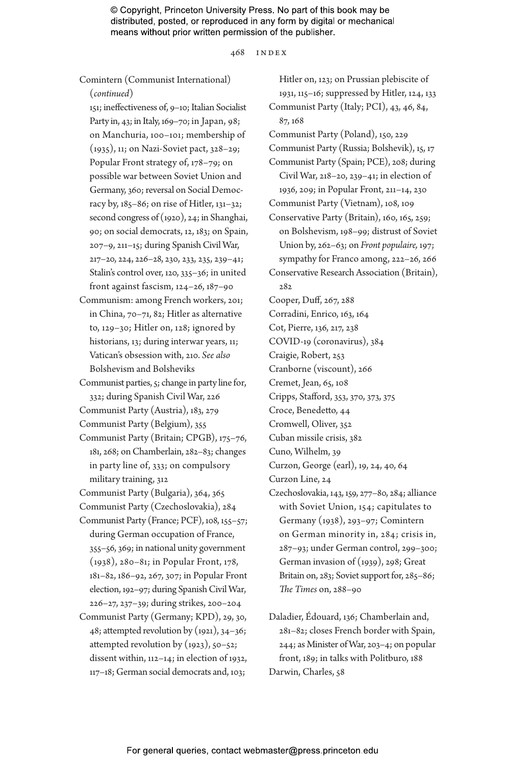468 index

Comintern (Communist International)

(*continued*)

151; ineffectiveness of, 9–10; Italian Socialist Party in, 43; in Italy, 169–70; in Japan, 98; on Manchuria, 100–101; membership of (1935), 11; on Nazi-Soviet pact, 328–29; Popular Front strategy of, 178–79; on possible war between Soviet Union and Germany, 360; reversal on Social Democracy by, 185–86; on rise of Hitler, 131–32; second congress of (1920), 24; in Shanghai, 90; on social democrats, 12, 183; on Spain, 207–9, 211–15; during Spanish Civil War, 217–20, 224, 226–28, 230, 233, 235, 239–41; Stalin's control over, 120, 335–36; in united front against fascism, 124–26, 187–90 Communism: among French workers, 201;

- in China, 70–71, 82; Hitler as alternative to, 129–30; Hitler on, 128; ignored by historians, 13; during interwar years, 11; Vatican's obsession with, 210. *See also* Bolshevism and Bolsheviks
- Communist parties, 5; change in party line for, 332; during Spanish Civil War, 226
- Communist Party (Austria), 183, 279
- Communist Party (Belgium), 355
- Communist Party (Britain; CPGB), 175–76, 181, 268; on Chamberlain, 282–83; changes in party line of, 333; on compulsory military training, 312
- Communist Party (Bulgaria), 364, 365
- Communist Party (Czechoslovakia), 284
- Communist Party (France; PCF), 108, 155–57; during German occupation of France, 355–56, 369; in national unity government (1938), 280–81; in Popular Front, 178, 181–82, 186–92, 267, 307; in Popular Front election, 192–97; during Spanish Civil War, 226–27, 237–39; during strikes, 200–204
- Communist Party (Germany; KPD), 29, 30, 48; attempted revolution by (1921), 34–36; attempted revolution by (1923), 50–52; dissent within, 112–14; in election of 1932, 117–18; German social democrats and, 103;

Hitler on, 123; on Prussian plebiscite of 1931, 115–16; suppressed by Hitler, 124, 133 Communist Party (Italy; PCI), 43, 46, 84, 87, 168 Communist Party (Poland), 150, 229 Communist Party (Russia; Bolshevik), 15, 17 Communist Party (Spain; PCE), 208; during Civil War, 218–20, 239–41; in election of 1936, 209; in Popular Front, 211–14, 230 Communist Party (Vietnam), 108, 109 Conservative Party (Britain), 160, 165, 259; on Bolshevism, 198–99; distrust of Soviet Union by, 262–63; on *Front populaire,* 197; sympathy for Franco among, 222–26, 266 Conservative Research Association (Britain), 282 Cooper, Duff, 267, 288 Corradini, Enrico, 163, 164 Cot, Pierre, 136, 217, 238 COVID-19 (coronavirus), 384 Craigie, Robert, 253 Cranborne (viscount), 266 Cremet, Jean, 65, 108 Cripps, Stafford, 353, 370, 373, 375 Croce, Benedetto, 44 Cromwell, Oliver, 352 Cuban missile crisis, 382 Cuno, Wilhelm, 39 Curzon, George (earl), 19, 24, 40, 64 Curzon Line, 24 Czechoslovakia, 143, 159, 277–80, 284; alliance with Soviet Union, 154; capitulates to Germany (1938), 293–97; Comintern on German minority in, 284; crisis in, 287–93; under German control, 299–300; German invasion of (1939), 298; Great Britain on, 283; Soviet support for, 285–86; *The Times* on, 288–90

Daladier, Édouard, 136; Chamberlain and, 281–82; closes French border with Spain, 244; as Minister of War, 203–4; on popular front, 189; in talks with Politburo, 188 Darwin, Charles, 58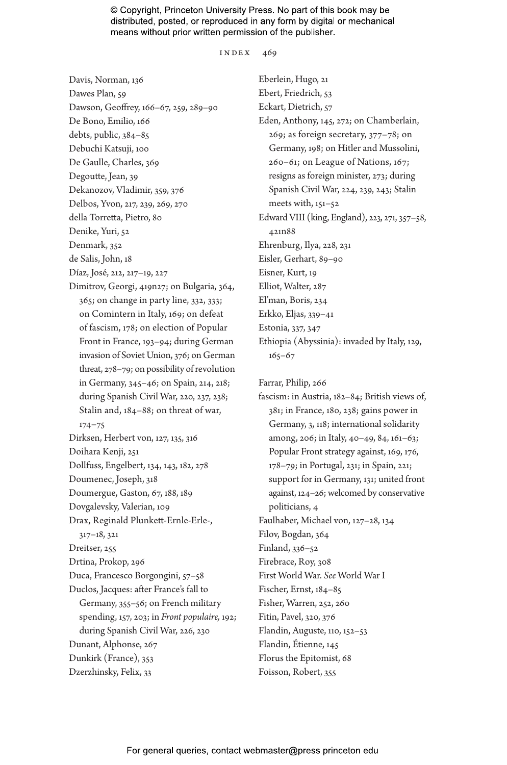INDEX 469

Davis, Norman, 136 Dawes Plan, 59 Dawson, Geoffrey, 166–67, 259, 289–90 De Bono, Emilio, 166 debts, public, 384–85 Debuchi Katsuji, 100 De Gaulle, Charles, 369 Degoutte, Jean, 39 Dekanozov, Vladimir, 359, 376 Delbos, Yvon, 217, 239, 269, 270 della Torretta, Pietro, 80 Denike, Yuri, 52 Denmark, 352 de Salis, John, 18 Díaz, José, 212, 217–19, 227 Dimitrov, Georgi, 419n27; on Bulgaria, 364, 365; on change in party line, 332, 333; on Comintern in Italy, 169; on defeat of fascism, 178; on election of Popular Front in France, 193–94; during German invasion of Soviet Union, 376; on German threat, 278–79; on possibility of revolution in Germany, 345–46; on Spain, 214, 218; during Spanish Civil War, 220, 237, 238; Stalin and, 184–88; on threat of war, 174–75 Dirksen, Herbert von, 127, 135, 316 Doihara Kenji, 251 Dollfuss, Engelbert, 134, 143, 182, 278 Doumenec, Joseph, 318 Doumergue, Gaston, 67, 188, 189 Dovgalevsky, Valerian, 109 Drax, Reginald Plunkett-Ernle-Erle-, 317–18, 321 Dreitser, 255 Drtina, Prokop, 296 Duca, Francesco Borgongini, 57–58 Duclos, Jacques: after France's fall to Germany, 355–56; on French military spending, 157, 203; in *Front populaire,* 192; during Spanish Civil War, 226, 230 Dunant, Alphonse, 267 Dunkirk (France), 353 Dzerzhinsky, Felix, 33

Eberlein, Hugo, 21 Ebert, Friedrich, 53 Eckart, Dietrich, 57 Eden, Anthony, 145, 272; on Chamberlain, 269; as foreign secretary, 377–78; on Germany, 198; on Hitler and Mussolini, 260–61; on League of Nations, 167; resigns as foreign minister, 273; during Spanish Civil War, 224, 239, 243; Stalin meets with, 151–52 Edward VIII (king, England), 223, 271, 357–58, 421n88 Ehrenburg, Ilya, 228, 231 Eisler, Gerhart, 89–90 Eisner, Kurt, 19 Elliot, Walter, 287 El'man, Boris, 234 Erkko, Eljas, 339–41 Estonia, 337, 347 Ethiopia (Abyssinia): invaded by Italy, 129, 165–67

Farrar, Philip, 266

fascism: in Austria, 182–84; British views of, 381; in France, 180, 238; gains power in Germany, 3, 118; international solidarity among, 206; in Italy, 40–49, 84, 161–63; Popular Front strategy against, 169, 176, 178–79; in Portugal, 231; in Spain, 221; support for in Germany, 131; united front against, 124–26; welcomed by conservative politicians, 4 Faulhaber, Michael von, 127–28, 134 Filov, Bogdan, 364 Finland, 336–52 Firebrace, Roy, 308 First World War. *See* World War I Fischer, Ernst, 184–85 Fisher, Warren, 252, 260 Fitin, Pavel, 320, 376 Flandin, Auguste, 110, 152–53 Flandin, Étienne, 145 Florus the Epitomist, 68 Foisson, Robert, 355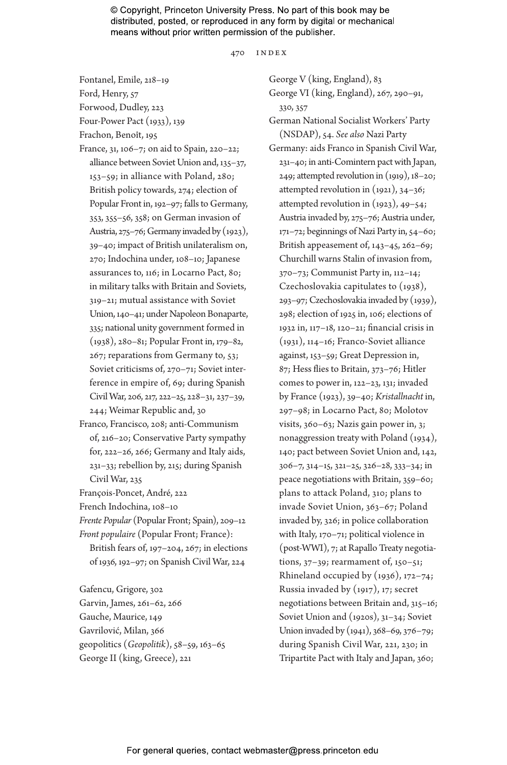470 index

Fontanel, Emile, 218–19

Ford, Henry, 57

Forwood, Dudley, 223

Four-Power Pact (1933), 139

Frachon, Benoît, 195

- France, 31, 106–7; on aid to Spain, 220–22; alliance between Soviet Union and, 135–37, 153–59; in alliance with Poland, 280; British policy towards, 274; election of Popular Front in, 192–97; falls to Germany, 353, 355–56, 358; on German invasion of Austria, 275–76; Germany invaded by (1923), 39–40; impact of British unilateralism on, 270; Indochina under, 108–10; Japanese assurances to, 116; in Locarno Pact, 80; in military talks with Britain and Soviets, 319–21; mutual assistance with Soviet Union, 140–41; under Napoleon Bonaparte, 335; national unity government formed in (1938), 280–81; Popular Front in, 179–82, 267; reparations from Germany to, 53; Soviet criticisms of, 270–71; Soviet interference in empire of, 69; during Spanish Civil War, 206, 217, 222–25, 228–31, 237–39, 244; Weimar Republic and, 30
- Franco, Francisco, 208; anti-Communism of, 216–20; Conservative Party sympathy for, 222–26, 266; Germany and Italy aids, 231–33; rebellion by, 215; during Spanish Civil War, 235

François-Poncet, André, 222

French Indochina, 108–10

*Frente Popular* (Popular Front; Spain), 209–12 *Front populaire* (Popular Front; France):

British fears of, 197–204, 267; in elections of 1936, 192–97; on Spanish Civil War, 224

Gafencu, Grigore, 302 Garvin, James, 261–62, 266 Gauche, Maurice, 149 Gavrilović, Milan, 366 geopolitics (*Geopolitik*), 58–59, 163–65 George II (king, Greece), 221

George V (king, England), 83

George VI (king, England), 267, 290–91, 330, 357

German National Socialist Workers' Party (NSDAP), 54. *See also* Nazi Party

Germany: aids Franco in Spanish Civil War, 231–40; in anti-Comintern pact with Japan, 249; attempted revolution in (1919), 18–20; attempted revolution in (1921), 34–36; attempted revolution in (1923), 49–54; Austria invaded by, 275–76; Austria under, 171–72; beginnings of Nazi Party in, 54–60; British appeasement of, 143–45, 262–69; Churchill warns Stalin of invasion from, 370–73; Communist Party in, 112–14; Czechoslovakia capitulates to (1938), 293–97; Czechoslovakia invaded by (1939), 298; election of 1925 in, 106; elections of 1932 in, 117–18, 120–21; financial crisis in (1931), 114–16; Franco-Soviet alliance against, 153–59; Great Depression in, 87; Hess flies to Britain, 373–76; Hitler comes to power in, 122–23, 131; invaded by France (1923), 39–40; *Kristallnacht* in, 297–98; in Locarno Pact, 80; Molotov visits, 360–63; Nazis gain power in, 3; nonaggression treaty with Poland (1934), 140; pact between Soviet Union and, 142, 306–7, 314–15, 321–25, 326–28, 333–34; in peace negotiations with Britain, 359–60; plans to attack Poland, 310; plans to invade Soviet Union, 363–67; Poland invaded by, 326; in police collaboration with Italy, 170–71; political violence in (post-WWI), 7; at Rapallo Treaty negotiations, 37–39; rearmament of, 150–51; Rhineland occupied by (1936), 172–74; Russia invaded by (1917), 17; secret negotiations between Britain and, 315–16; Soviet Union and (1920s), 31–34; Soviet Union invaded by (1941), 368–69, 376–79; during Spanish Civil War, 221, 230; in Tripartite Pact with Italy and Japan, 360;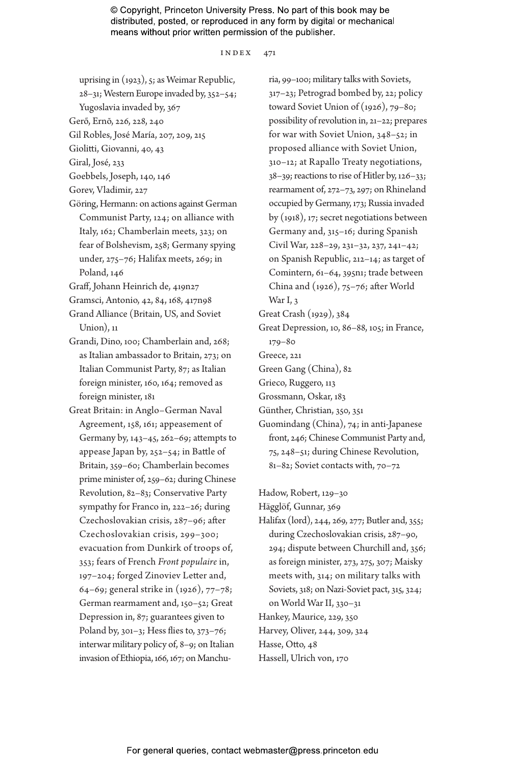index 471

- uprising in (1923), 5; as Weimar Republic,
- 28–31; Western Europe invaded by, 352–54;
- Yugoslavia invaded by, 367
- Gerő, Ernõ, 226, 228, 240
- Gil Robles, José María, 207, 209, 215
- Giolitti, Giovanni, 40, 43
- Giral, José, 233
- Goebbels, Joseph, 140, 146
- Gorev, Vladimir, 227
- Göring, Hermann: on actions against German Communist Party, 124; on alliance with Italy, 162; Chamberlain meets, 323; on fear of Bolshevism, 258; Germany spying under, 275–76; Halifax meets, 269; in Poland, 146
- Graff, Johann Heinrich de, 419n27
- Gramsci, Antonio, 42, 84, 168, 417n98
- Grand Alliance (Britain, US, and Soviet Union), 11
- Grandi, Dino, 100; Chamberlain and, 268; as Italian ambassador to Britain, 273; on Italian Communist Party, 87; as Italian foreign minister, 160, 164; removed as foreign minister, 181
- Great Britain: in Anglo–German Naval Agreement, 158, 161; appeasement of Germany by, 143–45, 262–69; attempts to appease Japan by, 252–54; in Battle of Britain, 359–60; Chamberlain becomes prime minister of, 259–62; during Chinese Revolution, 82–83; Conservative Party sympathy for Franco in, 222–26; during Czechoslovakian crisis, 287–96; after Czechoslovakian crisis, 299–300; evacuation from Dunkirk of troops of, 353; fears of French *Front populaire* in, 197–204; forged Zinoviev Letter and, 64–69; general strike in (1926), 77–78; German rearmament and, 150–52; Great Depression in, 87; guarantees given to Poland by, 301–3; Hess flies to, 373–76; interwar military policy of, 8–9; on Italian invasion of Ethiopia, 166, 167; on Manchu-

ria, 99–100; military talks with Soviets, 317–23; Petrograd bombed by, 22; policy toward Soviet Union of (1926), 79–80; possibility of revolution in, 21–22; prepares for war with Soviet Union, 348–52; in proposed alliance with Soviet Union, 310–12; at Rapallo Treaty negotiations, 38–39; reactions to rise of Hitler by, 126–33; rearmament of, 272–73, 297; on Rhineland occupied by Germany, 173; Russia invaded by (1918), 17; secret negotiations between Germany and, 315–16; during Spanish Civil War, 228–29, 231–32, 237, 241–42; on Spanish Republic, 212–14; as target of Comintern, 61–64, 395n1; trade between China and (1926), 75–76; after World War I, 3

- Great Crash (1929), 384
- Great Depression, 10, 86–88, 105; in France, 179–80
- Greece, 221
- Green Gang (China), 82
- Grieco, Ruggero, 113
- Grossmann, Oskar, 183
- Günther, Christian, 350, 351
- Guomindang (China), 74; in anti-Japanese front, 246; Chinese Communist Party and, 75, 248–51; during Chinese Revolution, 81–82; Soviet contacts with, 70–72

Hadow, Robert, 129–30

Hägglöf, Gunnar, 369

- Halifax (lord), 244, 269, 277; Butler and, 355; during Czechoslovakian crisis, 287–90, 294; dispute between Churchill and, 356; as foreign minister, 273, 275, 307; Maisky meets with, 314; on military talks with Soviets, 318; on Nazi-Soviet pact, 315, 324; on World War II, 330–31
- Hankey, Maurice, 229, 350
- Harvey, Oliver, 244, 309, 324
- Hasse, Otto, 48
- Hassell, Ulrich von, 170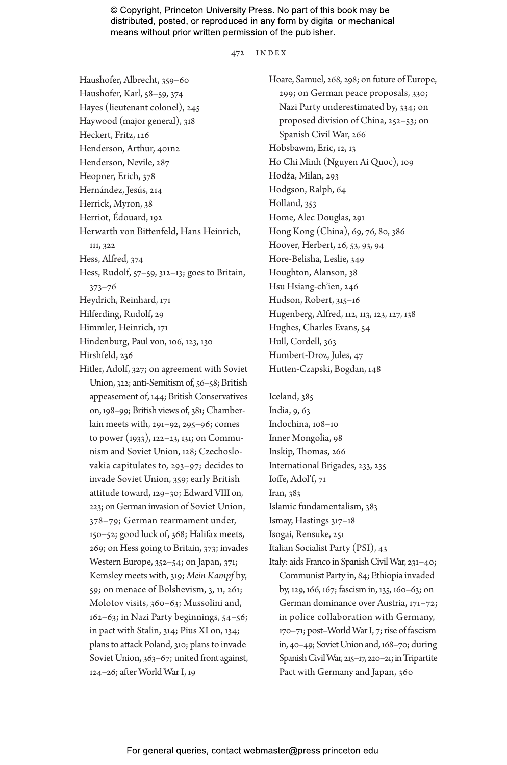472 index

Haushofer, Albrecht, 359–60 Haushofer, Karl, 58–59, 374 Hayes (lieutenant colonel), 245 Haywood (major general), 318 Heckert, Fritz, 126 Henderson, Arthur, 401n2 Henderson, Nevile, 287 Heopner, Erich, 378 Hernández, Jesús, 214 Herrick, Myron, 38 Herriot, Édouard, 192 Herwarth von Bittenfeld, Hans Heinrich, 111, 322 Hess, Alfred, 374 Hess, Rudolf, 57–59, 312–13; goes to Britain, 373–76 Heydrich, Reinhard, 171 Hilferding, Rudolf, 29 Himmler, Heinrich, 171 Hindenburg, Paul von, 106, 123, 130 Hirshfeld, 236 Hitler, Adolf, 327; on agreement with Soviet Union, 322; anti-Semitism of, 56–58; British appeasement of, 144; British Conservatives on, 198–99; British views of, 381; Chamberlain meets with, 291–92, 295–96; comes to power (1933), 122–23, 131; on Communism and Soviet Union, 128; Czechoslovakia capitulates to, 293–97; decides to invade Soviet Union, 359; early British attitude toward, 129–30; Edward VIII on, 223; on German invasion of Soviet Union, 378–79; German rearmament under,

150–52; good luck of, 368; Halifax meets, 269; on Hess going to Britain, 373; invades Western Europe, 352–54; on Japan, 371; Kemsley meets with, 319; *Mein Kampf* by, 59; on menace of Bolshevism, 3, 11, 261; Molotov visits, 360–63; Mussolini and, 162–63; in Nazi Party beginnings, 54–56; in pact with Stalin, 314; Pius XI on, 134; plans to attack Poland, 310; plans to invade Soviet Union, 363–67; united front against, 124–26; after World War I, 19

Hoare, Samuel, 268, 298; on future of Europe, 299; on German peace proposals, 330; Nazi Party underestimated by, 334; on proposed division of China, 252–53; on Spanish Civil War, 266 Hobsbawm, Eric, 12, 13 Ho Chi Minh (Nguyen Ai Quoc), 109 Hodža, Milan, 293 Hodgson, Ralph, 64 Holland, 353 Home, Alec Douglas, 291 Hong Kong (China), 69, 76, 80, 386 Hoover, Herbert, 26, 53, 93, 94 Hore-Belisha, Leslie, 349 Houghton, Alanson, 38 Hsu Hsiang-ch'ien, 246 Hudson, Robert, 315–16 Hugenberg, Alfred, 112, 113, 123, 127, 138 Hughes, Charles Evans, 54 Hull, Cordell, 363 Humbert-Droz, Jules, 47 Hutten-Czapski, Bogdan, 148

Iceland, 385 India, 9, 63 Indochina, 108–10 Inner Mongolia, 98 Inskip, Thomas, 266 International Brigades, 233, 235 Ioffe, Adol'f, 71 Iran, 383 Islamic fundamentalism, 383 Ismay, Hastings 317–18 Isogai, Rensuke, 251 Italian Socialist Party (PSI), 43 Italy: aids Franco in Spanish Civil War, 231–40; Communist Party in, 84; Ethiopia invaded by, 129, 166, 167; fascism in, 135, 160–63; on German dominance over Austria, 171–72; in police collaboration with Germany,

170–71; post–World War I, 7; rise of fascism in, 40–49; Soviet Union and, 168–70; during Spanish Civil War, 215–17, 220–21; in Tripartite Pact with Germany and Japan, 360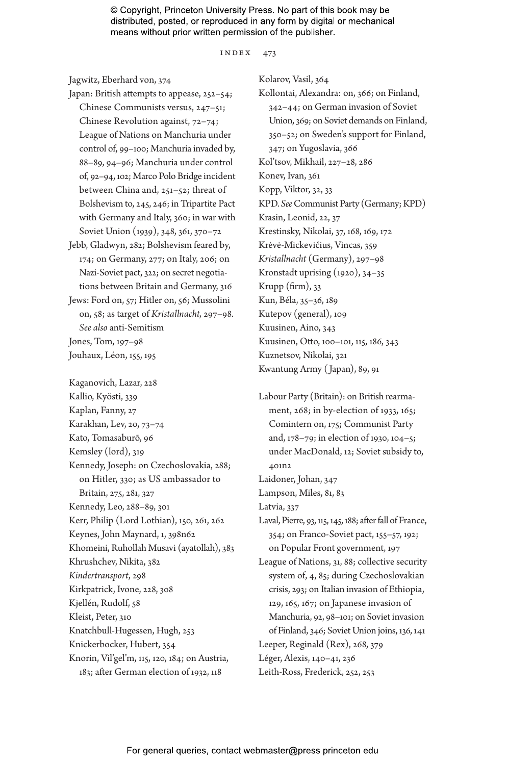index 473

Jagwitz, Eberhard von, 374

- Japan: British attempts to appease, 252–54; Chinese Communists versus, 247–51; Chinese Revolution against, 72–74; League of Nations on Manchuria under control of, 99–100; Manchuria invaded by, 88–89, 94–96; Manchuria under control of, 92–94, 102; Marco Polo Bridge incident between China and, 251–52; threat of Bolshevism to, 245, 246; in Tripartite Pact with Germany and Italy, 360; in war with Soviet Union (1939), 348, 361, 370–72
- Jebb, Gladwyn, 282; Bolshevism feared by, 174; on Germany, 277; on Italy, 206; on Nazi-Soviet pact, 322; on secret negotiations between Britain and Germany, 316
- Jews: Ford on, 57; Hitler on, 56; Mussolini on, 58; as target of *Kristallnacht,* 297–98. *See also* anti-Semitism Jones, Tom, 197–98

Jouhaux, Léon, 155, 195

Kaganovich, Lazar, 228 Kallio, Kyösti, 339 Kaplan, Fanny, 27 Karakhan, Lev, 20, 73–74 Kato, Tomasaburō, 96 Kemsley (lord), 319 Kennedy, Joseph: on Czechoslovakia, 288; on Hitler, 330; as US ambassador to Britain, 275, 281, 327 Kennedy, Leo, 288–89, 301 Kerr, Philip (Lord Lothian), 150, 261, 262 Keynes, John Maynard, 1, 398n62 Khomeini, Ruhollah Musavi (ayatollah), 383 Khrushchev, Nikita, 382 *Kindertransport*, 298 Kirkpatrick, Ivone, 228, 308 Kjellén, Rudolf, 58 Kleist, Peter, 310 Knatchbull-Hugessen, Hugh, 253 Knickerbocker, Hubert, 354 Knorin, Vil'gel'm, 115, 120, 184; on Austria, 183; after German election of 1932, 118

Kolarov, Vasil, 364 Kollontai, Alexandra: on, 366; on Finland, 342–44; on German invasion of Soviet Union, 369; on Soviet demands on Finland, 350–52; on Sweden's support for Finland, 347; on Yugoslavia, 366 Kol'tsov, Mikhail, 227–28, 286 Konev, Ivan, 361 Kopp, Viktor, 32, 33 KPD. *See* Communist Party (Germany; KPD) Krasin, Leonid, 22, 37 Krestinsky, Nikolai, 37, 168, 169, 172 Krėvė-Mickevičius, Vincas, 359 *Kristallnacht* (Germany), 297–98 Kronstadt uprising (1920), 34–35 Krupp (firm), 33 Kun, Béla, 35–36, 189 Kutepov (general), 109 Kuusinen, Aino, 343 Kuusinen, Otto, 100–101, 115, 186, 343 Kuznetsov, Nikolai, 321 Kwantung Army ( Japan), 89, 91

Labour Party (Britain): on British rearmament, 268; in by-election of 1933, 165; Comintern on, 175; Communist Party and, 178–79; in election of 1930, 104–5; under MacDonald, 12; Soviet subsidy to, 401n2 Laidoner, Johan, 347 Lampson, Miles, 81, 83 Latvia, 337 Laval, Pierre, 93, 115, 145, 188; after fall of France, 354; on Franco-Soviet pact, 155–57, 192; on Popular Front government, 197 League of Nations, 31, 88; collective security system of, 4, 85; during Czechoslovakian crisis, 293; on Italian invasion of Ethiopia, 129, 165, 167; on Japanese invasion of Manchuria, 92, 98–101; on Soviet invasion

of Finland, 346; Soviet Union joins, 136, 141

- Leeper, Reginald (Rex), 268, 379
- Léger, Alexis, 140–41, 236
- Leith-Ross, Frederick, 252, 253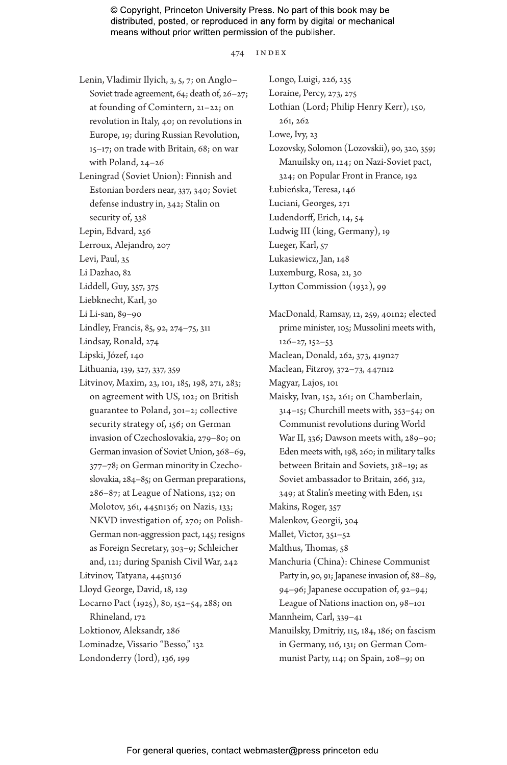474 index

- Lenin, Vladimir Ilyich, 3, 5, 7; on Anglo– Soviet trade agreement, 64; death of, 26–27; at founding of Comintern, 21–22; on revolution in Italy, 40; on revolutions in Europe, 19; during Russian Revolution, 15–17; on trade with Britain, 68; on war with Poland, 24–26
- Leningrad (Soviet Union): Finnish and Estonian borders near, 337, 340; Soviet defense industry in, 342; Stalin on security of, 338
- Lepin, Edvard, 256
- Lerroux, Alejandro, 207
- Levi, Paul, 35
- Li Dazhao, 82
- Liddell, Guy, 357, 375
- Liebknecht, Karl, 30
- Li Li-san, 89–90
- Lindley, Francis, 85, 92, 274–75, 311
- Lindsay, Ronald, 274
- Lipski, Józef, 140
- Lithuania, 139, 327, 337, 359
- Litvinov, Maxim, 23, 101, 185, 198, 271, 283; on agreement with US, 102; on British guarantee to Poland, 301–2; collective security strategy of, 156; on German invasion of Czechoslovakia, 279–80; on German invasion of Soviet Union, 368–69, 377–78; on German minority in Czechoslovakia, 284–85; on German preparations, 286–87; at League of Nations, 132; on Molotov, 361, 445n136; on Nazis, 133; NKVD investigation of, 270; on Polish-German non-aggression pact, 145; resigns as Foreign Secretary, 303–9; Schleicher and, 121; during Spanish Civil War, 242 Litvinov, Tatyana, 445n136 Lloyd George, David, 18, 129 Locarno Pact (1925), 80, 152–54, 288; on Rhineland, 172 Loktionov, Aleksandr, 286 Lominadze, Vissario "Besso," 132
- Londonderry (lord), 136, 199

Longo, Luigi, 226, 235 Loraine, Percy, 273, 275 Lothian (Lord; Philip Henry Kerr), 150, 261, 262 Lowe, Ivy, 23 Lozovsky, Solomon (Lozovskii), 90, 320, 359; Manuilsky on, 124; on Nazi-Soviet pact, 324; on Popular Front in France, 192 Łubieńska, Teresa, 146 Luciani, Georges, 271 Ludendorff, Erich, 14, 54 Ludwig III (king, Germany), 19 Lueger, Karl, 57 Lukasiewicz, Jan, 148 Luxemburg, Rosa, 21, 30 Lytton Commission (1932), 99

- MacDonald, Ramsay, 12, 259, 401n2; elected prime minister, 105; Mussolini meets with, 126–27, 152–53 Maclean, Donald, 262, 373, 419n27
- Maclean, Fitzroy, 372–73, 447n12
- 
- Magyar, Lajos, 101
- Maisky, Ivan, 152, 261; on Chamberlain, 314–15; Churchill meets with, 353–54; on Communist revolutions during World War II, 336; Dawson meets with, 289–90; Eden meets with, 198, 260; in military talks between Britain and Soviets, 318–19; as Soviet ambassador to Britain, 266, 312, 349; at Stalin's meeting with Eden, 151
- Makins, Roger, 357
- Malenkov, Georgii, 304
- Mallet, Victor, 351–52
- Malthus, Thomas, 58
- Manchuria (China): Chinese Communist Party in, 90, 91; Japanese invasion of, 88–89, 94–96; Japanese occupation of, 92–94; League of Nations inaction on, 98–101
- Mannheim, Carl, 339–41
- Manuilsky, Dmitriy, 115, 184, 186; on fascism in Germany, 116, 131; on German Communist Party, 114; on Spain, 208–9; on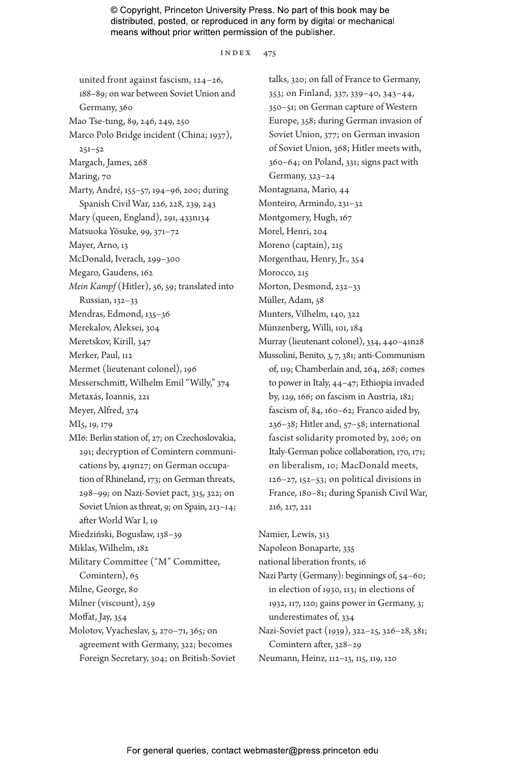index 475

united front against fascism, 124–26, 188–89; on war between Soviet Union and Germany, 360 Mao Tse-tung, 89, 246, 249, 250 Marco Polo Bridge incident (China; 1937), 251–52 Margach, James, 268 Maring, 70 Marty, André, 155–57, 194–96, 200; during Spanish Civil War, 226, 228, 239, 243 Mary (queen, England), 291, 433n134 Matsuoka Yōsuke, 99, 371–72 Mayer, Arno, 13 McDonald, Iverach, 299–300 Megaro, Gaudens, 162 *Mein Kampf* (Hitler), 56, 59; translated into Russian, 132–33 Mendras, Edmond, 135–36 Merekalov, Aleksei, 304 Meretskov, Kirill, 347 Merker, Paul, 112 Mermet (lieutenant colonel), 196 Messerschmitt, Wilhelm Emil "Willy," 374 Metaxás, Ioannis, 221 Meyer, Alfred, 374 MI5, 19, 179 MI6: Berlin station of, 27; on Czechoslovakia, 291; decryption of Comintern communications by, 419n27; on German occupation of Rhineland, 173; on German threats, 298–99; on Nazi-Soviet pact, 315, 322; on Soviet Union as threat, 9; on Spain, 213–14; after World War I, 19 Miedziński, Bogusław, 138–39 Miklas, Wilhelm, 182 Military Committee ("M" Committee, Comintern), 65 Milne, George, 80 Milner (viscount), 259 Moffat, Jay, 354 Molotov, Vyacheslav, 5, 270–71, 365; on agreement with Germany, 322; becomes Foreign Secretary, 304; on British-Soviet

talks, 320; on fall of France to Germany, 353; on Finland, 337, 339–40, 343–44, 350–51; on German capture of Western Europe, 358; during German invasion of Soviet Union, 377; on German invasion of Soviet Union, 368; Hitler meets with, 360–64; on Poland, 331; signs pact with Germany, 323–24 Montagnana, Mario, 44 Monteiro, Armindo, 231–32 Montgomery, Hugh, 167 Morel, Henri, 204 Moreno (captain), 215 Morgenthau, Henry, Jr., 354 Morocco, 215 Morton, Desmond, 232–33 Müller, Adam, 58 Munters, Vilhelm, 140, 322 Münzenberg, Willi, 101, 184 Murray (lieutenant colonel), 334, 440–41n28 Mussolini, Benito, 3, 7, 381; anti-Communism of, 119; Chamberlain and, 264, 268; comes to power in Italy, 44–47; Ethiopia invaded by, 129, 166; on fascism in Austria, 182; fascism of, 84, 160–62; Franco aided by, 236–38; Hitler and, 57–58; international fascist solidarity promoted by, 206; on Italy-German police collaboration, 170, 171; on liberalism, 10; MacDonald meets, 126–27, 152–53; on political divisions in France, 180–81; during Spanish Civil War, 216, 217, 221 Namier, Lewis, 313

Napoleon Bonaparte, 335 national liberation fronts, 16 Nazi Party (Germany): beginnings of, 54–60; in election of 1930, 113; in elections of 1932, 117, 120; gains power in Germany, 3; underestimates of, 334 Nazi-Soviet pact (1939), 322–25, 326–28, 381; Comintern after, 328–29

Neumann, Heinz, 112–13, 115, 119, 120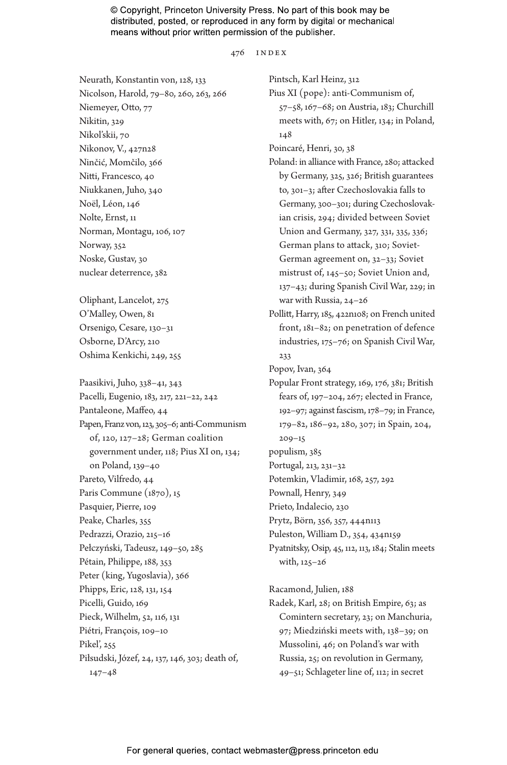476 index

Neurath, Konstantin von, 128, 133 Nicolson, Harold, 79–80, 260, 263, 266 Niemeyer, Otto, 77 Nikitin, 329 Nikol'skii, 70 Nikonov, V., 427n28 Ninčić, Momčilo, 366 Nitti, Francesco, 40 Niukkanen, Juho, 340 Noël, Léon, 146 Nolte, Ernst, 11 Norman, Montagu, 106, 107 Norway, 352 Noske, Gustav, 30 nuclear deterrence, 382

Oliphant, Lancelot, 275 O'Malley, Owen, 81 Orsenigo, Cesare, 130–31 Osborne, D'Arcy, 210 Oshima Kenkichi, 249, 255

Paasikivi, Juho, 338–41, 343 Pacelli, Eugenio, 183, 217, 221–22, 242 Pantaleone, Maffeo, 44 Papen, Franz von, 123, 305–6; anti-Communism of, 120, 127–28; German coalition government under, 118; Pius XI on, 134; on Poland, 139–40 Pareto, Vilfredo, 44 Paris Commune (1870), 15 Pasquier, Pierre, 109 Peake, Charles, 355 Pedrazzi, Orazio, 215–16 Pełczyński, Tadeusz, 149–50, 285 Pétain, Philippe, 188, 353 Peter (king, Yugoslavia), 366 Phipps, Eric, 128, 131, 154 Picelli, Guido, 169 Pieck, Wilhelm, 52, 116, 131 Piétri, François, 109–10 Pikel', 255 Piłsudski, Józef, 24, 137, 146, 303; death of, 147–48

Pintsch, Karl Heinz, 312 Pius XI (pope): anti-Communism of, 57–58, 167–68; on Austria, 183; Churchill meets with, 67; on Hitler, 134; in Poland, 148 Poincaré, Henri, 30, 38 Poland: in alliance with France, 280; attacked by Germany, 325, 326; British guarantees to, 301–3; after Czechoslovakia falls to Germany, 300–301; during Czechoslovakian crisis, 294; divided between Soviet Union and Germany, 327, 331, 335, 336; German plans to attack, 310; Soviet-German agreement on, 32–33; Soviet mistrust of, 145–50; Soviet Union and, 137–43; during Spanish Civil War, 229; in war with Russia, 24–26 Pollitt, Harry, 185, 422n108; on French united front, 181–82; on penetration of defence industries, 175–76; on Spanish Civil War, 233 Popov, Ivan, 364 Popular Front strategy, 169, 176, 381; British fears of, 197–204, 267; elected in France, 192–97; against fascism, 178–79; in France, 179–82, 186–92, 280, 307; in Spain, 204, 209–15 populism, 385 Portugal, 213, 231–32 Potemkin, Vladimir, 168, 257, 292 Pownall, Henry, 349 Prieto, Indalecio, 230 Prytz, Börn, 356, 357, 444n113 Puleston, William D., 354, 434n159 Pyatnitsky, Osip, 45, 112, 113, 184; Stalin meets with, 125–26 Racamond, Julien, 188

Radek, Karl, 28; on British Empire, 63; as Comintern secretary, 23; on Manchuria, 97; Miedziński meets with, 138–39; on Mussolini, 46; on Poland's war with Russia, 25; on revolution in Germany, 49–51; Schlageter line of, 112; in secret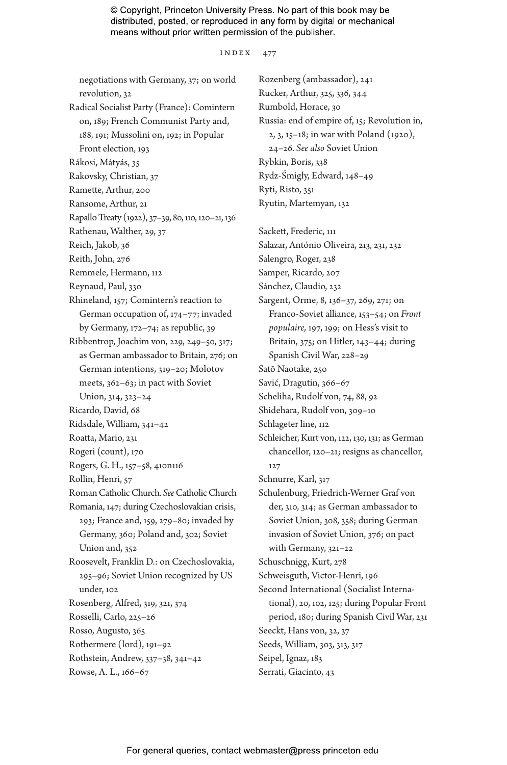index 477

negotiations with Germany, 37; on world revolution, 32 Radical Socialist Party (France): Comintern on, 189; French Communist Party and, 188, 191; Mussolini on, 192; in Popular Front election, 193 Rákosi, Mátyás, 35 Rakovsky, Christian, 37 Ramette, Arthur, 200 Ransome, Arthur, 21 Rapallo Treaty (1922), 37–39, 80, 110, 120–21, 136 Rathenau, Walther, 29, 37 Reich, Jakob, 36 Reith, John, 276 Remmele, Hermann, 112 Reynaud, Paul, 330 Rhineland, 157; Comintern's reaction to German occupation of, 174–77; invaded by Germany, 172–74; as republic, 39 Ribbentrop, Joachim von, 229, 249–50, 317; as German ambassador to Britain, 276; on German intentions, 319–20; Molotov meets, 362–63; in pact with Soviet Union, 314, 323–24 Ricardo, David, 68 Ridsdale, William, 341–42 Roatta, Mario, 231 Rogeri (count), 170 Rogers, G. H., 157–58, 410n116 Rollin, Henri, 57 Roman Catholic Church. *See* Catholic Church Romania, 147; during Czechoslovakian crisis, 293; France and, 159, 279–80; invaded by Germany, 360; Poland and, 302; Soviet Union and, 352 Roosevelt, Franklin D.: on Czechoslovakia, 295–96; Soviet Union recognized by US under, 102 Rosenberg, Alfred, 319, 321, 374 Rosselli, Carlo, 225–26 Rosso, Augusto, 365 Rothermere (lord), 191–92 Rothstein, Andrew, 337–38, 341–42 Rowse, A. L., 166–67

Rozenberg (ambassador), 241 Rucker, Arthur, 325, 336, 344 Rumbold, Horace, 30 Russia: end of empire of, 15; Revolution in, 2, 3, 15–18; in war with Poland (1920), 24–26. *See also* Soviet Union Rybkin, Boris, 338 Rydz-Śmigły, Edward, 148–49 Ryti, Risto, 351 Ryutin, Martemyan, 132 Sackett, Frederic, 111 Salazar, António Oliveira, 213, 231, 232 Salengro, Roger, 238 Samper, Ricardo, 207 Sánchez, Claudio, 232 Sargent, Orme, 8, 136–37, 269, 271; on Franco-Soviet alliance, 153–54; on *Front populaire,* 197, 199; on Hess's visit to Britain, 375; on Hitler, 143–44; during Spanish Civil War, 228–29 Satō Naotake, 250 Savić, Dragutin, 366–67 Scheliha, Rudolf von, 74, 88, 92 Shidehara, Rudolf von, 309–10 Schlageter line, 112 Schleicher, Kurt von, 122, 130, 131; as German chancellor, 120–21; resigns as chancellor, 127 Schnurre, Karl, 317 Schulenburg, Friedrich-Werner Graf von der, 310, 314; as German ambassador to Soviet Union, 308, 358; during German invasion of Soviet Union, 376; on pact with Germany, 321–22 Schuschnigg, Kurt, 278 Schweisguth, Victor-Henri, 196 Second International (Socialist International), 20, 102, 125; during Popular Front period, 180; during Spanish Civil War, 231 Seeckt, Hans von, 32, 37 Seeds, William, 303, 313, 317 Seipel, Ignaz, 183 Serrati, Giacinto, 43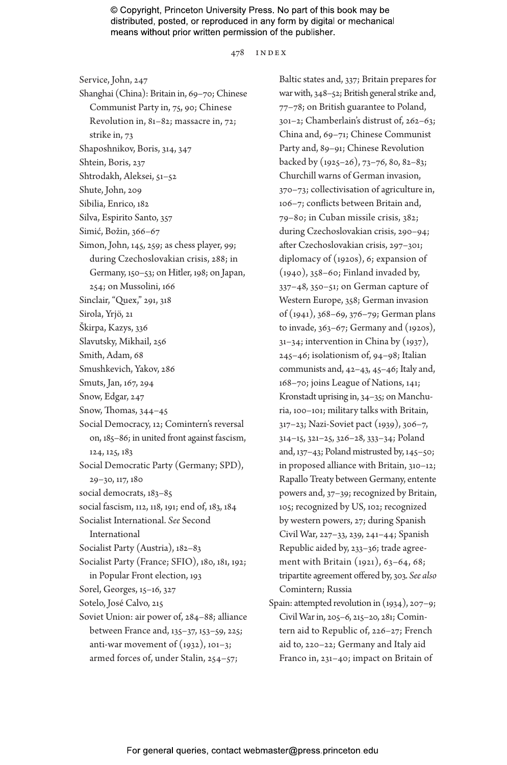478 index

Service, John, 247 Shanghai (China): Britain in, 69–70; Chinese Communist Party in, 75, 90; Chinese Revolution in, 81–82; massacre in, 72; strike in, 73 Shaposhnikov, Boris, 314, 347 Shtein, Boris, 237 Shtrodakh, Aleksei, 51–52 Shute, John, 209 Sibilia, Enrico, 182 Silva, Espirito Santo, 357 Simić, Božin, 366–67 Simon, John, 145, 259; as chess player, 99; during Czechoslovakian crisis, 288; in Germany, 150–53; on Hitler, 198; on Japan, 254; on Mussolini, 166 Sinclair, "Quex," 291, 318 Sirola, Yrjö, 21 Škirpa, Kazys, 336 Slavutsky, Mikhail, 256 Smith, Adam, 68 Smushkevich, Yakov, 286 Smuts, Jan, 167, 294 Snow, Edgar, 247 Snow, Thomas, 344–45 Social Democracy, 12; Comintern's reversal on, 185–86; in united front against fascism, 124, 125, 183 Social Democratic Party (Germany; SPD), 29–30, 117, 180 social democrats, 183–85 social fascism, 112, 118, 191; end of, 183, 184 Socialist International. *See* Second International Socialist Party (Austria), 182–83 Socialist Party (France; SFIO), 180, 181, 192; in Popular Front election, 193 Sorel, Georges, 15–16, 327 Sotelo, José Calvo, 215 Soviet Union: air power of, 284–88; alliance between France and, 135–37, 153–59, 225; anti-war movement of  $(1932)$ ,  $101-3$ ; armed forces of, under Stalin, 254–57;

Baltic states and, 337; Britain prepares for war with, 348–52; British general strike and, 77–78; on British guarantee to Poland, 301–2; Chamberlain's distrust of, 262–63; China and, 69–71; Chinese Communist Party and, 89–91; Chinese Revolution backed by (1925–26), 73–76, 80, 82–83; Churchill warns of German invasion, 370–73; collectivisation of agriculture in, 106–7; conflicts between Britain and, 79–80; in Cuban missile crisis, 382; during Czechoslovakian crisis, 290–94; after Czechoslovakian crisis, 297–301; diplomacy of (1920s), 6; expansion of (1940), 358–60; Finland invaded by, 337–48, 350–51; on German capture of Western Europe, 358; German invasion of (1941), 368–69, 376–79; German plans to invade, 363–67; Germany and (1920s), 31–34; intervention in China by (1937), 245–46; isolationism of, 94–98; Italian communists and, 42–43, 45–46; Italy and, 168–70; joins League of Nations, 141; Kronstadt uprising in, 34–35; on Manchuria, 100–101; military talks with Britain, 317–23; Nazi-Soviet pact (1939), 306–7, 314–15, 321–25, 326–28, 333–34; Poland and, 137–43; Poland mistrusted by, 145–50; in proposed alliance with Britain, 310–12; Rapallo Treaty between Germany, entente powers and, 37–39; recognized by Britain, 105; recognized by US, 102; recognized by western powers, 27; during Spanish Civil War, 227–33, 239, 241–44; Spanish Republic aided by, 233–36; trade agreement with Britain (1921), 63-64, 68; tripartite agreement offered by, 303. *See also* Comintern; Russia

Spain: attempted revolution in (1934), 207–9; Civil War in, 205–6, 215–20, 281; Comintern aid to Republic of, 226–27; French aid to, 220–22; Germany and Italy aid Franco in, 231–40; impact on Britain of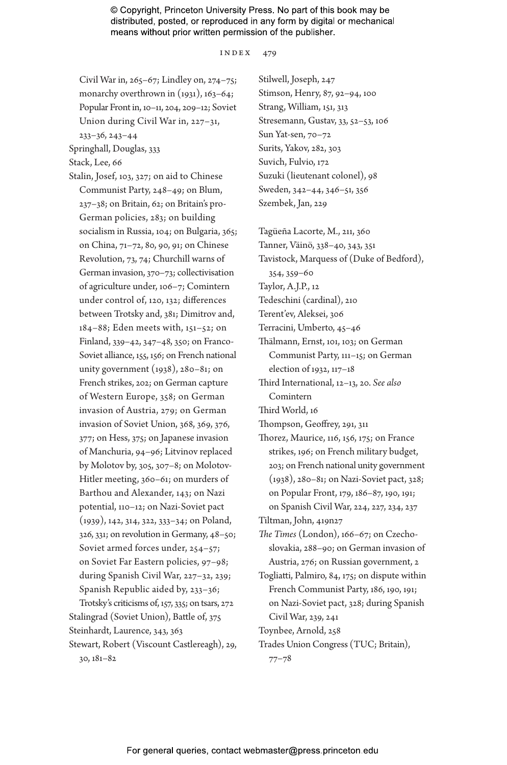index 479

Civil War in, 265–67; Lindley on, 274–75; monarchy overthrown in  $(1931)$ ,  $163-64$ ; Popular Front in, 10–11, 204, 209–12; Soviet Union during Civil War in, 227–31,

233–36, 243–44

Springhall, Douglas, 333

Stack, Lee, 66

Stalin, Josef, 103, 327; on aid to Chinese Communist Party, 248–49; on Blum, 237–38; on Britain, 62; on Britain's pro-German policies, 283; on building socialism in Russia, 104; on Bulgaria, 365; on China, 71–72, 80, 90, 91; on Chinese Revolution, 73, 74; Churchill warns of German invasion, 370–73; collectivisation of agriculture under, 106–7; Comintern under control of, 120, 132; differences between Trotsky and, 381; Dimitrov and, 184–88; Eden meets with, 151–52; on Finland, 339–42, 347–48, 350; on Franco-Soviet alliance, 155, 156; on French national unity government  $(1938)$ , 280–81; on French strikes, 202; on German capture of Western Europe, 358; on German invasion of Austria, 279; on German invasion of Soviet Union, 368, 369, 376, 377; on Hess, 375; on Japanese invasion of Manchuria, 94–96; Litvinov replaced by Molotov by, 305, 307–8; on Molotov-Hitler meeting, 360–61; on murders of Barthou and Alexander, 143; on Nazi potential, 110–12; on Nazi-Soviet pact (1939), 142, 314, 322, 333–34; on Poland, 326, 331; on revolution in Germany, 48–50; Soviet armed forces under, 254–57; on Soviet Far Eastern policies, 97–98; during Spanish Civil War, 227–32, 239; Spanish Republic aided by, 233–36; Trotsky's criticisms of, 157, 335; on tsars, 272 Stalingrad (Soviet Union), Battle of, 375 Steinhardt, Laurence, 343, 363 Stewart, Robert (Viscount Castlereagh), 29, 30, 181–82

Stilwell, Joseph, 247 Stimson, Henry, 87, 92–94, 100 Strang, William, 151, 313 Stresemann, Gustav, 33, 52–53, 106 Sun Yat-sen, 70–72 Surits, Yakov, 282, 303 Suvich, Fulvio, 172 Suzuki (lieutenant colonel), 98 Sweden, 342–44, 346–51, 356 Szembek, Jan, 229

Tagüeña Lacorte, M., 211, 360

Tanner, Väinö, 338–40, 343, 351 Tavistock, Marquess of (Duke of Bedford), 354, 359–60

Taylor, A.J.P., 12

Tedeschini (cardinal), 210

Terent'ev, Aleksei, 306

Terracini, Umberto, 45–46

Thälmann, Ernst, 101, 103; on German Communist Party, 111–15; on German election of 1932, 117–18

Third International, 12–13, 20. *See also* Comintern

Third World, 16

Thompson, Geoffrey, 291, 311

Thorez, Maurice, 116, 156, 175; on France strikes, 196; on French military budget, 203; on French national unity government (1938), 280–81; on Nazi-Soviet pact, 328; on Popular Front, 179, 186–87, 190, 191; on Spanish Civil War, 224, 227, 234, 237

Tiltman, John, 419n27

- *The Times* (London), 166–67; on Czechoslovakia, 288–90; on German invasion of Austria, 276; on Russian government, 2
- Togliatti, Palmiro, 84, 175; on dispute within French Communist Party, 186, 190, 191; on Nazi-Soviet pact, 328; during Spanish Civil War, 239, 241

Toynbee, Arnold, 258

Trades Union Congress (TUC; Britain), 77–78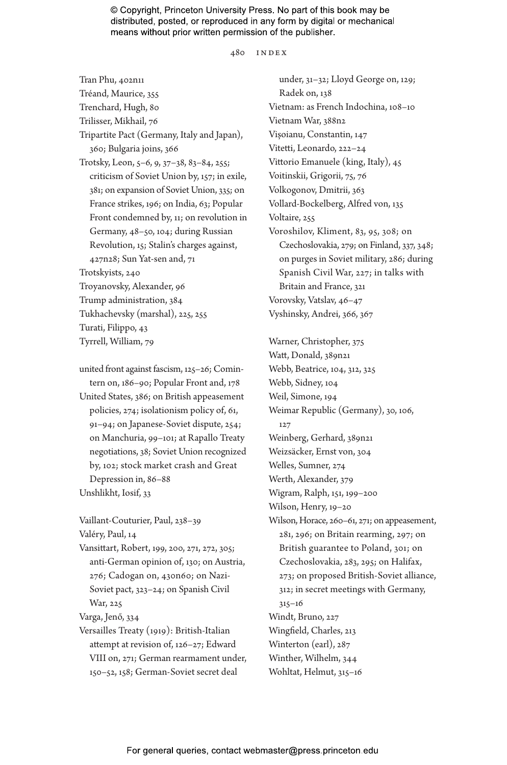480 index

Tran Phu, 402n11 Tréand, Maurice, 355 Trenchard, Hugh, 80 Trilisser, Mikhail, 76 Tripartite Pact (Germany, Italy and Japan), 360; Bulgaria joins, 366 Trotsky, Leon, 5–6, 9, 37–38, 83–84, 255; criticism of Soviet Union by, 157; in exile, 381; on expansion of Soviet Union, 335; on France strikes, 196; on India, 63; Popular Front condemned by, 11; on revolution in Germany, 48–50, 104; during Russian Revolution, 15; Stalin's charges against, 427n28; Sun Yat-sen and, 71 Trotskyists, 240 Troyanovsky, Alexander, 96 Trump administration, 384 Tukhachevsky (marshal), 225, 255 Turati, Filippo, 43 Tyrrell, William, 79

united front against fascism, 125–26; Comintern on, 186–90; Popular Front and, 178 United States, 386; on British appeasement policies, 274; isolationism policy of, 61, 91–94; on Japanese-Soviet dispute, 254; on Manchuria, 99–101; at Rapallo Treaty negotiations, 38; Soviet Union recognized by, 102; stock market crash and Great Depression in, 86–88 Unshlikht, Iosif, 33

Vaillant-Couturier, Paul, 238–39 Valéry, Paul, 14

Vansittart, Robert, 199, 200, 271, 272, 305; anti-German opinion of, 130; on Austria, 276; Cadogan on, 430n60; on Nazi-Soviet pact, 323–24; on Spanish Civil War, 225

Varga, Jenő, 334

Versailles Treaty (1919): British-Italian attempt at revision of, 126–27; Edward VIII on, 271; German rearmament under, 150–52, 158; German-Soviet secret deal

under, 31–32; Lloyd George on, 129; Radek on, 138 Vietnam: as French Indochina, 108–10 Vietnam War, 388n2 Vișoianu, Constantin, 147 Vitetti, Leonardo, 222–24 Vittorio Emanuele (king, Italy), 45 Voitinskii, Grigorii, 75, 76 Volkogonov, Dmitrii, 363 Vollard-Bockelberg, Alfred von, 135 Voltaire, 255 Voroshilov, Kliment, 83, 95, 308; on Czechoslovakia, 279; on Finland, 337, 348; on purges in Soviet military, 286; during Spanish Civil War, 227; in talks with Britain and France, 321 Vorovsky, Vatslav, 46–47 Vyshinsky, Andrei, 366, 367

Warner, Christopher, 375 Watt, Donald, 389n21 Webb, Beatrice, 104, 312, 325 Webb, Sidney, 104 Weil, Simone, 194 Weimar Republic (Germany), 30, 106, 127 Weinberg, Gerhard, 389n21 Weizsäcker, Ernst von, 304 Welles, Sumner, 274 Werth, Alexander, 379 Wigram, Ralph, 151, 199–200 Wilson, Henry, 19–20 Wilson, Horace, 260–61, 271; on appeasement, 281, 296; on Britain rearming, 297; on

- British guarantee to Poland, 301; on Czechoslovakia, 283, 295; on Halifax, 273; on proposed British-Soviet alliance, 312; in secret meetings with Germany, 315–16 Windt, Bruno, 227 Wingfield, Charles, 213 Winterton (earl), 287 Winther, Wilhelm, 344
- Wohltat, Helmut, 315–16